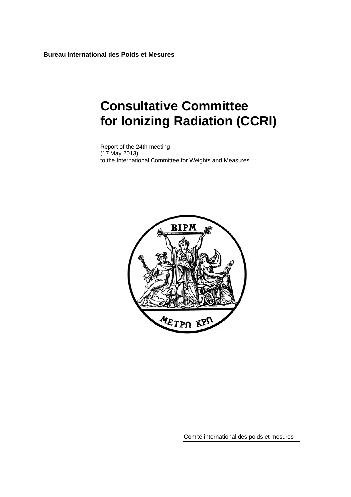**Bureau International des Poids et Mesures** 

# **Consultative Committee for Ionizing Radiation (CCRI)**

Report of the 24th meeting (17 May 2013) to the International Committee for Weights and Measures



Comité international des poids et mesures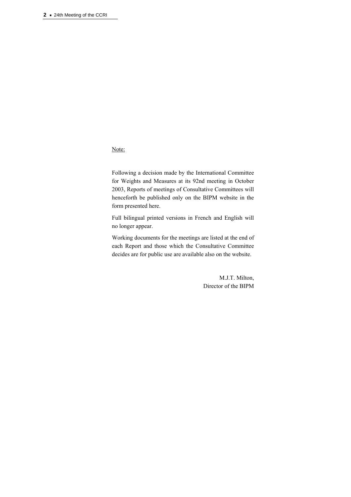Note:

Following a decision made by the International Committee for Weights and Measures at its 92nd meeting in October 2003, Reports of meetings of Consultative Committees will henceforth be published only on the BIPM website in the form presented here.

Full bilingual printed versions in French and English will no longer appear.

Working documents for the meetings are listed at the end of each Report and those which the Consultative Committee decides are for public use are available also on the website.

> M.J.T. Milton, Director of the BIPM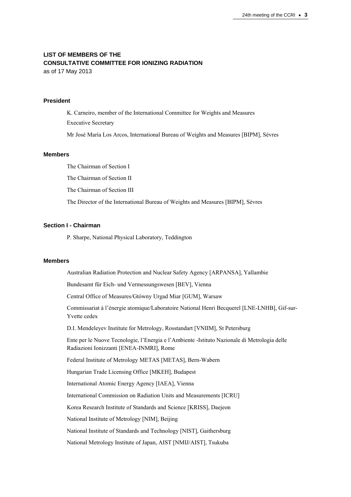# **LIST OF MEMBERS OF THE CONSULTATIVE COMMITTEE FOR IONIZING RADIATION**

as of 17 May 2013

# **President**

K. Carneiro, member of the International Committee for Weights and Measures Executive Secretary Mr José María Los Arcos, International Bureau of Weights and Measures [BIPM], Sèvres

### **Members**

The Chairman of Section I

The Chairman of Section II

The Chairman of Section III

The Director of the International Bureau of Weights and Measures [BIPM], Sèvres

#### **Section I - Chairman**

P. Sharpe, National Physical Laboratory, Teddington

### **Members**

Australian Radiation Protection and Nuclear Safety Agency [ARPANSA], Yallambie

Bundesamt für Eich- und Vermessungswesen [BEV], Vienna

Central Office of Measures/Gtówny Urgad Miar [GUM], Warsaw

Commissariat à l'énergie atomique/Laboratoire National Henri Becquerel [LNE-LNHB], Gif-sur-Yvette cedex

D.I. Mendeleyev Institute for Metrology, Rosstandart [VNIIM], St Petersburg

Ente per le Nuove Tecnologie, l'Energia e l'Ambiente -Istituto Nazionale di Metrologia delle Radiazioni Ionizzanti [ENEA-INMRI], Rome

Federal Institute of Metrology METAS [METAS], Bern-Wabern

Hungarian Trade Licensing Office [MKEH], Budapest

International Atomic Energy Agency [IAEA], Vienna

International Commission on Radiation Units and Measurements [ICRU]

Korea Research Institute of Standards and Science [KRISS], Daejeon

National Institute of Metrology [NIM], Beijing

National Institute of Standards and Technology [NIST], Gaithersburg

National Metrology Institute of Japan, AIST [NMIJ/AIST], Tsukuba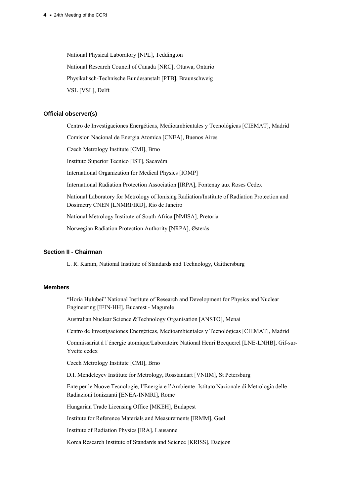National Physical Laboratory [NPL], Teddington National Research Council of Canada [NRC], Ottawa, Ontario Physikalisch-Technische Bundesanstalt [PTB], Braunschweig VSL [VSL], Delft

### **Official observer(s)**

Centro de Investigaciones Energéticas, Medioambientales y Tecnológicas [CIEMAT], Madrid Comision Nacional de Energia Atomica [CNEA], Buenos Aires Czech Metrology Institute [CMI], Brno Instituto Superior Tecnico [IST], Sacavém International Organization for Medical Physics [IOMP] International Radiation Protection Association [IRPA], Fontenay aux Roses Cedex National Laboratory for Metrology of Ionising Radiation/Institute of Radiation Protection and Dosimetry CNEN [LNMRI/IRD], Rio de Janeiro National Metrology Institute of South Africa [NMISA], Pretoria Norwegian Radiation Protection Authority [NRPA], Østerås

### **Section II - Chairman**

L. R. Karam, National Institute of Standards and Technology, Gaithersburg

### **Members**

"Horia Hulubei" National Institute of Research and Development for Physics and Nuclear Engineering [IFIN-HH], Bucarest - Magurele

Australian Nuclear Science &Technology Organisation [ANSTO], Menai

Centro de Investigaciones Energéticas, Medioambientales y Tecnológicas [CIEMAT], Madrid

Commissariat à l'énergie atomique/Laboratoire National Henri Becquerel [LNE-LNHB], Gif-sur-Yvette cedex

Czech Metrology Institute [CMI], Brno

D.I. Mendeleyev Institute for Metrology, Rosstandart [VNIIM], St Petersburg

Ente per le Nuove Tecnologie, l'Energia e l'Ambiente -Istituto Nazionale di Metrologia delle Radiazioni Ionizzanti [ENEA-INMRI], Rome

Hungarian Trade Licensing Office [MKEH], Budapest

Institute for Reference Materials and Measurements [IRMM], Geel

Institute of Radiation Physics [IRA], Lausanne

Korea Research Institute of Standards and Science [KRISS], Daejeon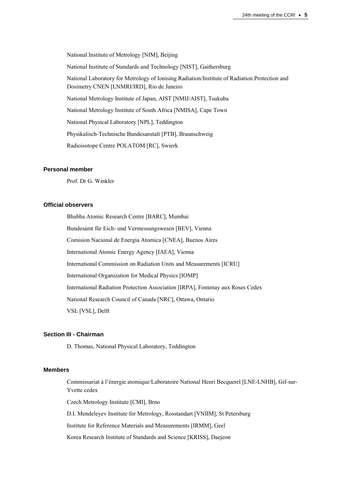National Institute of Metrology [NIM], Beijing National Institute of Standards and Technology [NIST], Gaithersburg National Laboratory for Metrology of Ionising Radiation/Institute of Radiation Protection and Dosimetry CNEN [LNMRI/IRD], Rio de Janeiro National Metrology Institute of Japan, AIST [NMIJ/AIST], Tsukuba National Metrology Institute of South Africa [NMISA], Cape Town National Physical Laboratory [NPL], Teddington Physikalisch-Technische Bundesanstalt [PTB], Braunschweig Radioisotope Centre POLATOM [RC], Swierk

### **Personal member**

Prof. Dr G. Winkler

### **Official observers**

Bhabha Atomic Research Centre [BARC], Mumbai Bundesamt für Eich- und Vermessungswesen [BEV], Vienna Comision Nacional de Energia Atomica [CNEA], Buenos Aires International Atomic Energy Agency [IAEA], Vienna International Commission on Radiation Units and Measurements [ICRU] International Organization for Medical Physics [IOMP] International Radiation Protection Association [IRPA], Fontenay aux Roses Cedex National Research Council of Canada [NRC], Ottawa, Ontario VSL [VSL], Delft

# **Section III - Chairman**

D. Thomas, National Physical Laboratory, Teddington

### **Members**

Commissariat à l'énergie atomique/Laboratoire National Henri Becquerel [LNE-LNHB], Gif-sur-Yvette cedex

Czech Metrology Institute [CMI], Brno

D.I. Mendeleyev Institute for Metrology, Rosstandart [VNIIM], St Petersburg

Institute for Reference Materials and Measurements [IRMM], Geel

Korea Research Institute of Standards and Science [KRISS], Daejeon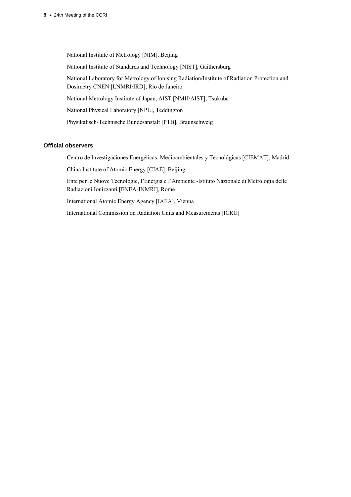National Institute of Metrology [NIM], Beijing National Institute of Standards and Technology [NIST], Gaithersburg National Laboratory for Metrology of Ionising Radiation/Institute of Radiation Protection and Dosimetry CNEN [LNMRI/IRD], Rio de Janeiro National Metrology Institute of Japan, AIST [NMIJ/AIST], Tsukuba National Physical Laboratory [NPL], Teddington Physikalisch-Technische Bundesanstalt [PTB], Braunschweig

### **Official observers**

Centro de Investigaciones Energéticas, Medioambientales y Tecnológicas [CIEMAT], Madrid

China Institute of Atomic Energy [CIAE], Beijing

Ente per le Nuove Tecnologie, l'Energia e l'Ambiente -Istituto Nazionale di Metrologia delle Radiazioni Ionizzanti [ENEA-INMRI], Rome

International Atomic Energy Agency [IAEA], Vienna

International Commission on Radiation Units and Measurements [ICRU]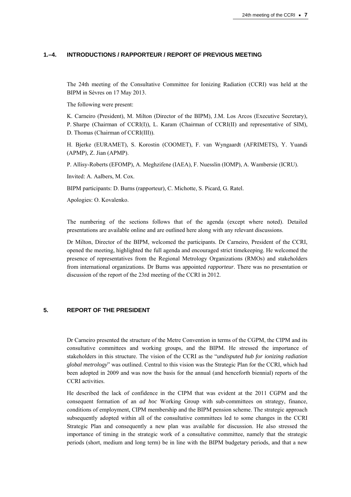### **1.–4. INTRODUCTIONS / RAPPORTEUR / REPORT OF PREVIOUS MEETING**

The 24th meeting of the Consultative Committee for Ionizing Radiation (CCRI) was held at the BIPM in Sèvres on 17 May 2013.

The following were present:

K. Carneiro (President), M. Milton (Director of the BIPM), J.M. Los Arcos (Executive Secretary), P. Sharpe (Chairman of CCRI(I)), L. Karam (Chairman of CCRI(II) and representative of SIM), D. Thomas (Chairman of CCRI(III)).

H. Bjerke (EURAMET), S. Korostin (COOMET), F. van Wyngaardt (AFRIMETS), Y. Yuandi (APMP), Z. Jian (APMP).

P. Allisy-Roberts (EFOMP), A. Meghzifene (IAEA), F. Nuesslin (IOMP), A. Wambersie (ICRU).

Invited: A. Aalbers, M. Cox.

BIPM participants: D. Burns (rapporteur), C. Michotte, S. Picard, G. Ratel.

Apologies: O. Kovalenko.

The numbering of the sections follows that of the agenda (except where noted). Detailed presentations are available online and are outlined here along with any relevant discussions.

Dr Milton, Director of the BIPM, welcomed the participants. Dr Carneiro, President of the CCRI, opened the meeting, highlighted the full agenda and encouraged strict timekeeping. He welcomed the presence of representatives from the Regional Metrology Organizations (RMOs) and stakeholders from international organizations. Dr Burns was appointed *rapporteur*. There was no presentation or discussion of the report of the 23rd meeting of the CCRI in 2012.

### **5. REPORT OF THE PRESIDENT**

Dr Carneiro presented the structure of the Metre Convention in terms of the CGPM, the CIPM and its consultative committees and working groups, and the BIPM. He stressed the importance of stakeholders in this structure. The vision of the CCRI as the "*undisputed hub for ionizing radiation global metrology*" was outlined. Central to this vision was the Strategic Plan for the CCRI, which had been adopted in 2009 and was now the basis for the annual (and henceforth biennial) reports of the CCRI activities.

He described the lack of confidence in the CIPM that was evident at the 2011 CGPM and the consequent formation of an *ad hoc* Working Group with sub-committees on strategy, finance, conditions of employment, CIPM membership and the BIPM pension scheme. The strategic approach subsequently adopted within all of the consultative committees led to some changes in the CCRI Strategic Plan and consequently a new plan was available for discussion. He also stressed the importance of timing in the strategic work of a consultative committee, namely that the strategic periods (short, medium and long term) be in line with the BIPM budgetary periods, and that a new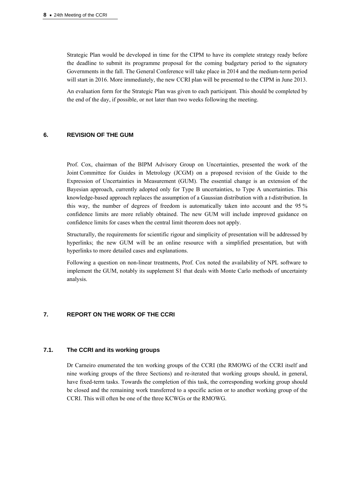Strategic Plan would be developed in time for the CIPM to have its complete strategy ready before the deadline to submit its programme proposal for the coming budgetary period to the signatory Governments in the fall. The General Conference will take place in 2014 and the medium-term period will start in 2016. More immediately, the new CCRI plan will be presented to the CIPM in June 2013.

An evaluation form for the Strategic Plan was given to each participant. This should be completed by the end of the day, if possible, or not later than two weeks following the meeting.

# **6. REVISION OF THE GUM**

Prof. Cox, chairman of the BIPM Advisory Group on Uncertainties, presented the work of the Joint Committee for Guides in Metrology (JCGM) on a proposed revision of the Guide to the Expression of Uncertainties in Measurement (GUM). The essential change is an extension of the Bayesian approach, currently adopted only for Type B uncertainties, to Type A uncertainties. This knowledge-based approach replaces the assumption of a Gaussian distribution with a *t*-distribution. In this way, the number of degrees of freedom is automatically taken into account and the 95 % confidence limits are more reliably obtained. The new GUM will include improved guidance on confidence limits for cases when the central limit theorem does not apply.

Structurally, the requirements for scientific rigour and simplicity of presentation will be addressed by hyperlinks; the new GUM will be an online resource with a simplified presentation, but with hyperlinks to more detailed cases and explanations.

Following a question on non-linear treatments, Prof. Cox noted the availability of NPL software to implement the GUM, notably its supplement S1 that deals with Monte Carlo methods of uncertainty analysis.

# **7. REPORT ON THE WORK OF THE CCRI**

### **7.1. The CCRI and its working groups**

Dr Carneiro enumerated the ten working groups of the CCRI (the RMOWG of the CCRI itself and nine working groups of the three Sections) and re-iterated that working groups should, in general, have fixed-term tasks. Towards the completion of this task, the corresponding working group should be closed and the remaining work transferred to a specific action or to another working group of the CCRI. This will often be one of the three KCWGs or the RMOWG.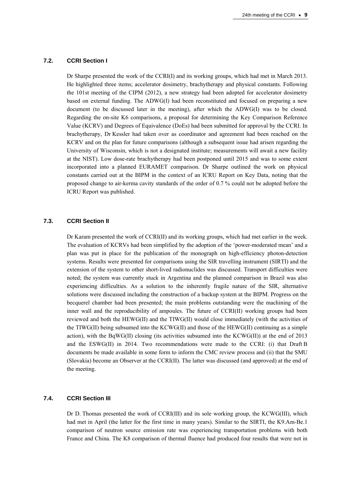#### **7.2. CCRI Section I**

Dr Sharpe presented the work of the CCRI(I) and its working groups, which had met in March 2013. He highlighted three items; accelerator dosimetry, brachytherapy and physical constants. Following the 101st meeting of the CIPM (2012), a new strategy had been adopted for accelerator dosimetry based on external funding. The ADWG(I) had been reconstituted and focused on preparing a new document (to be discussed later in the meeting), after which the ADWG(I) was to be closed. Regarding the on-site K6 comparisons, a proposal for determining the Key Comparison Reference Value (KCRV) and Degrees of Equivalence (DoEs) had been submitted for approval by the CCRI. In brachytherapy, Dr Kessler had taken over as coordinator and agreement had been reached on the KCRV and on the plan for future comparisons (although a subsequent issue had arisen regarding the University of Wisconsin, which is not a designated institute; measurements will await a new facility at the NIST). Low dose-rate brachytherapy had been postponed until 2015 and was to some extent incorporated into a planned EURAMET comparison. Dr Sharpe outlined the work on physical constants carried out at the BIPM in the context of an ICRU Report on Key Data, noting that the proposed change to air-kerma cavity standards of the order of 0.7 % could not be adopted before the ICRU Report was published.

### **7.3. CCRI Section II**

Dr Karam presented the work of CCRI(II) and its working groups, which had met earlier in the week. The evaluation of KCRVs had been simplified by the adoption of the 'power-moderated mean' and a plan was put in place for the publication of the monograph on high-efficiency photon-detection systems. Results were presented for comparisons using the SIR travelling instrument (SIRTI) and the extension of the system to other short-lived radionuclides was discussed. Transport difficulties were noted; the system was currently stuck in Argentina and the planned comparison in Brazil was also experiencing difficulties. As a solution to the inherently fragile nature of the SIR, alternative solutions were discussed including the construction of a backup system at the BIPM. Progress on the becquerel chamber had been presented; the main problems outstanding were the machining of the inner wall and the reproducibility of ampoules. The future of CCRI(II) working groups had been reviewed and both the HEWG(II) and the TIWG(II) would close immediately (with the activities of the TIWG(II) being subsumed into the KCWG(II) and those of the  $HEWG(II)$  continuing as a simple action), with the BqWG(II) closing (its activities subsumed into the KCWG(II)) at the end of 2013 and the ESWG(II) in 2014. Two recommendations were made to the CCRI: (i) that Draft B documents be made available in some form to inform the CMC review process and (ii) that the SMU (Slovakia) become an Observer at the CCRI(II). The latter was discussed (and approved) at the end of the meeting.

# **7.4. CCRI Section III**

Dr D. Thomas presented the work of CCRI(III) and its sole working group, the KCWG(III), which had met in April (the latter for the first time in many years). Similar to the SIRTI, the K9.Am-Be.1 comparison of neutron source emission rate was experiencing transportation problems with both France and China. The K8 comparison of thermal fluence had produced four results that were not in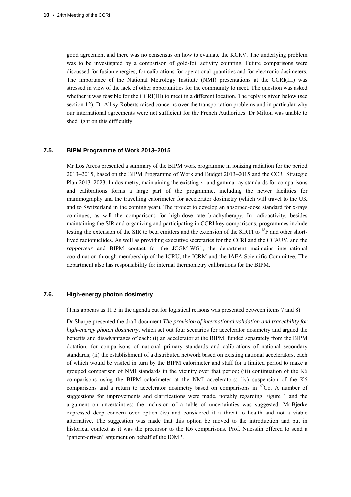good agreement and there was no consensus on how to evaluate the KCRV. The underlying problem was to be investigated by a comparison of gold-foil activity counting. Future comparisons were discussed for fusion energies, for calibrations for operational quantities and for electronic dosimeters. The importance of the National Metrology Institute (NMI) presentations at the CCRI(III) was stressed in view of the lack of other opportunities for the community to meet. The question was asked whether it was feasible for the CCRI(III) to meet in a different location. The reply is given below (see section 12). Dr Allisy-Roberts raised concerns over the transportation problems and in particular why our international agreements were not sufficient for the French Authorities. Dr Milton was unable to shed light on this difficultly.

#### **7.5. BIPM Programme of Work 2013–2015**

Mr Los Arcos presented a summary of the BIPM work programme in ionizing radiation for the period 2013–2015, based on the BIPM Programme of Work and Budget 2013–2015 and the CCRI Strategic Plan 2013–2023. In dosimetry, maintaining the existing x- and gamma-ray standards for comparisons and calibrations forms a large part of the programme, including the newer facilities for mammography and the travelling calorimeter for accelerator dosimetry (which will travel to the UK and to Switzerland in the coming year). The project to develop an absorbed-dose standard for x-rays continues, as will the comparisons for high-dose rate brachytherapy. In radioactivity, besides maintaining the SIR and organizing and participating in CCRI key comparisons, programmes include testing the extension of the SIR to beta emitters and the extension of the SIRTI to  $^{18}$ F and other shortlived radionuclides. As well as providing executive secretaries for the CCRI and the CCAUV, and the *rapporteur* and BIPM contact for the JCGM-WG1, the department maintains international coordination through membership of the ICRU, the ICRM and the IAEA Scientific Committee. The department also has responsibility for internal thermometry calibrations for the BIPM.

# **7.6. High-energy photon dosimetry**

(This appears as 11.3 in the agenda but for logistical reasons was presented between items 7 and 8)

Dr Sharpe presented the draft document *The provision of international validation and traceability for high-energy photon dosimetry*, which set out four scenarios for accelerator dosimetry and argued the benefits and disadvantages of each: (i) an accelerator at the BIPM, funded separately from the BIPM dotation, for comparisons of national primary standards and calibrations of national secondary standards; (ii) the establishment of a distributed network based on existing national accelerators, each of which would be visited in turn by the BIPM calorimeter and staff for a limited period to make a grouped comparison of NMI standards in the vicinity over that period; (iii) continuation of the K6 comparisons using the BIPM calorimeter at the NMI accelerators; (iv) suspension of the K6 comparisons and a return to accelerator dosimetry based on comparisons in  $^{60}$ Co. A number of suggestions for improvements and clarifications were made, notably regarding Figure 1 and the argument on uncertainties; the inclusion of a table of uncertainties was suggested. Mr Bjerke expressed deep concern over option (iv) and considered it a threat to health and not a viable alternative. The suggestion was made that this option be moved to the introduction and put in historical context as it was the precursor to the K6 comparisons. Prof. Nuesslin offered to send a 'patient-driven' argument on behalf of the IOMP.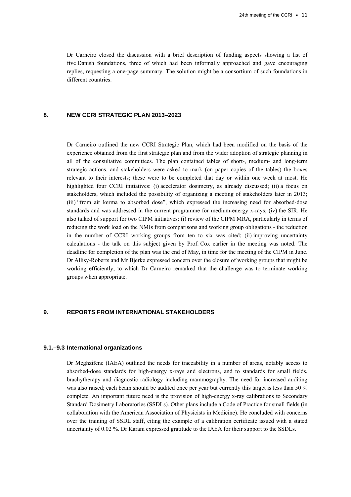Dr Carneiro closed the discussion with a brief description of funding aspects showing a list of five Danish foundations, three of which had been informally approached and gave encouraging replies, requesting a one-page summary. The solution might be a consortium of such foundations in different countries.

### **8. NEW CCRI STRATEGIC PLAN 2013–2023**

Dr Carneiro outlined the new CCRI Strategic Plan, which had been modified on the basis of the experience obtained from the first strategic plan and from the wider adoption of strategic planning in all of the consultative committees. The plan contained tables of short-, medium- and long-term strategic actions, and stakeholders were asked to mark (on paper copies of the tables) the boxes relevant to their interests; these were to be completed that day or within one week at most. He highlighted four CCRI initiatives: (i) accelerator dosimetry, as already discussed; (ii) a focus on stakeholders, which included the possibility of organizing a meeting of stakeholders later in 2013; (iii) "from air kerma to absorbed dose", which expressed the increasing need for absorbed-dose standards and was addressed in the current programme for medium-energy x-rays; (iv) the SIR. He also talked of support for two CIPM initiatives: (i) review of the CIPM MRA, particularly in terms of reducing the work load on the NMIs from comparisons and working group obligations - the reduction in the number of CCRI working groups from ten to six was cited; (ii) improving uncertainty calculations - the talk on this subject given by Prof. Cox earlier in the meeting was noted. The deadline for completion of the plan was the end of May, in time for the meeting of the CIPM in June. Dr Allisy-Roberts and Mr Bjerke expressed concern over the closure of working groups that might be working efficiently, to which Dr Carneiro remarked that the challenge was to terminate working groups when appropriate.

### **9. REPORTS FROM INTERNATIONAL STAKEHOLDERS**

#### **9.1.–9.3 International organizations**

Dr Meghzifene (IAEA) outlined the needs for traceability in a number of areas, notably access to absorbed-dose standards for high-energy x-rays and electrons, and to standards for small fields, brachytherapy and diagnostic radiology including mammography. The need for increased auditing was also raised; each beam should be audited once per year but currently this target is less than 50 % complete. An important future need is the provision of high-energy x-ray calibrations to Secondary Standard Dosimetry Laboratories (SSDLs). Other plans include a Code of Practice for small fields (in collaboration with the American Association of Physicists in Medicine). He concluded with concerns over the training of SSDL staff, citing the example of a calibration certificate issued with a stated uncertainty of 0.02 %. Dr Karam expressed gratitude to the IAEA for their support to the SSDLs.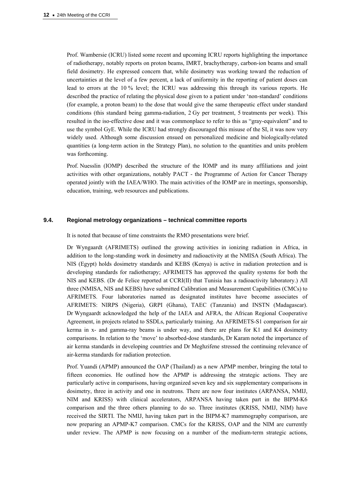Prof. Wambersie (ICRU) listed some recent and upcoming ICRU reports highlighting the importance of radiotherapy, notably reports on proton beams, IMRT, brachytherapy, carbon-ion beams and small field dosimetry. He expressed concern that, while dosimetry was working toward the reduction of uncertainties at the level of a few percent, a lack of uniformity in the reporting of patient doses can lead to errors at the 10 % level; the ICRU was addressing this through its various reports. He described the practice of relating the physical dose given to a patient under 'non-standard' conditions (for example, a proton beam) to the dose that would give the same therapeutic effect under standard conditions (this standard being gamma-radiation, 2 Gy per treatment, 5 treatments per week). This resulted in the iso-effective dose and it was commonplace to refer to this as "gray-equivalent" and to use the symbol GyE. While the ICRU had strongly discouraged this misuse of the SI, it was now very widely used. Although some discussion ensued on personalized medicine and biologically-related quantities (a long-term action in the Strategy Plan), no solution to the quantities and units problem was forthcoming.

Prof. Nuesslin (IOMP) described the structure of the IOMP and its many affiliations and joint activities with other organizations, notably PACT - the Programme of Action for Cancer Therapy operated jointly with the IAEA/WHO. The main activities of the IOMP are in meetings, sponsorship, education, training, web resources and publications.

#### **9.4. Regional metrology organizations – technical committee reports**

It is noted that because of time constraints the RMO presentations were brief.

Dr Wyngaardt (AFRIMETS) outlined the growing activities in ionizing radiation in Africa, in addition to the long-standing work in dosimetry and radioactivity at the NMISA (South Africa). The NIS (Egypt) holds dosimetry standards and KEBS (Kenya) is active in radiation protection and is developing standards for radiotherapy; AFRIMETS has approved the quality systems for both the NIS and KEBS. (Dr de Felice reported at CCRI(II) that Tunisia has a radioactivity laboratory.) All three (NMISA, NIS and KEBS) have submitted Calibration and Measurement Capabilities (CMCs) to AFRIMETS. Four laboratories named as designated institutes have become associates of AFRIMETS: NIRPS (Nigeria), GRPI (Ghana), TAEC (Tanzania) and INSTN (Madagascar). Dr Wyngaardt acknowledged the help of the IAEA and AFRA, the African Regional Cooperative Agreement, in projects related to SSDLs, particularly training. An AFRIMETS-S1 comparison for air kerma in x- and gamma-ray beams is under way, and there are plans for K1 and K4 dosimetry comparisons. In relation to the 'move' to absorbed-dose standards, Dr Karam noted the importance of air kerma standards in developing countries and Dr Meghzifene stressed the continuing relevance of air-kerma standards for radiation protection.

Prof. Yuandi (APMP) announced the OAP (Thailand) as a new APMP member, bringing the total to fifteen economies. He outlined how the APMP is addressing the strategic actions. They are particularly active in comparisons, having organized seven key and six supplementary comparisons in dosimetry, three in activity and one in neutrons. There are now four institutes (ARPANSA, NMIJ, NIM and KRISS) with clinical accelerators, ARPANSA having taken part in the BIPM-K6 comparison and the three others planning to do so. Three institutes (KRISS, NMIJ, NIM) have received the SIRTI. The NMIJ, having taken part in the BIPM-K7 mammography comparison, are now preparing an APMP-K7 comparison. CMCs for the KRISS, OAP and the NIM are currently under review. The APMP is now focusing on a number of the medium-term strategic actions,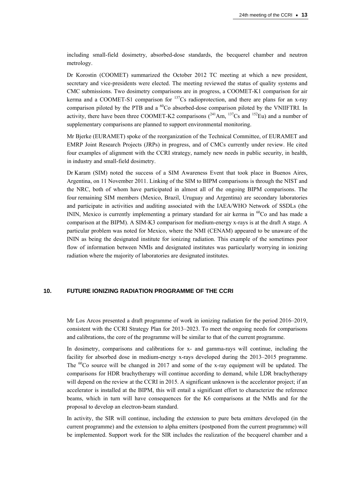including small-field dosimetry, absorbed-dose standards, the becquerel chamber and neutron metrology.

Dr Korostin (COOMET) summarized the October 2012 TC meeting at which a new president, secretary and vice-presidents were elected. The meeting reviewed the status of quality systems and CMC submissions. Two dosimetry comparisons are in progress, a COOMET-K1 comparison for air kerma and a COOMET-S1 comparison for  $137$ Cs radioprotection, and there are plans for an x-ray comparison piloted by the PTB and a  ${}^{60}Co$  absorbed-dose comparison piloted by the VNIIFTRI. In activity, there have been three COOMET-K2 comparisons  $(^{241}Am$ ,  $^{137}Cs$  and  $^{152}Eu$ ) and a number of supplementary comparisons are planned to support environmental monitoring.

Mr Bjerke (EURAMET) spoke of the reorganization of the Technical Committee, of EURAMET and EMRP Joint Research Projects (JRPs) in progress, and of CMCs currently under review. He cited four examples of alignment with the CCRI strategy, namely new needs in public security, in health, in industry and small-field dosimetry.

Dr Karam (SIM) noted the success of a SIM Awareness Event that took place in Buenos Aires, Argentina, on 11 November 2011. Linking of the SIM to BIPM comparisons is through the NIST and the NRC, both of whom have participated in almost all of the ongoing BIPM comparisons. The four remaining SIM members (Mexico, Brazil, Uruguay and Argentina) are secondary laboratories and participate in activities and auditing associated with the IAEA/WHO Network of SSDLs (the ININ, Mexico is currently implementing a primary standard for air kerma in  ${}^{60}$ Co and has made a comparison at the BIPM). A SIM-K3 comparison for medium-energy x-rays is at the draft A stage. A particular problem was noted for Mexico, where the NMI (CENAM) appeared to be unaware of the ININ as being the designated institute for ionizing radiation. This example of the sometimes poor flow of information between NMIs and designated institutes was particularly worrying in ionizing radiation where the majority of laboratories are designated institutes.

### **10. FUTURE IONIZING RADIATION PROGRAMME OF THE CCRI**

Mr Los Arcos presented a draft programme of work in ionizing radiation for the period 2016–2019, consistent with the CCRI Strategy Plan for 2013–2023. To meet the ongoing needs for comparisons and calibrations, the core of the programme will be similar to that of the current programme.

In dosimetry, comparisons and calibrations for x- and gamma-rays will continue, including the facility for absorbed dose in medium-energy x-rays developed during the 2013–2015 programme. The  ${}^{60}$ Co source will be changed in 2017 and some of the x-ray equipment will be updated. The comparisons for HDR brachytherapy will continue according to demand, while LDR brachytherapy will depend on the review at the CCRI in 2015. A significant unknown is the accelerator project; if an accelerator is installed at the BIPM, this will entail a significant effort to characterize the reference beams, which in turn will have consequences for the K6 comparisons at the NMIs and for the proposal to develop an electron-beam standard.

In activity, the SIR will continue, including the extension to pure beta emitters developed (in the current programme) and the extension to alpha emitters (postponed from the current programme) will be implemented. Support work for the SIR includes the realization of the becquerel chamber and a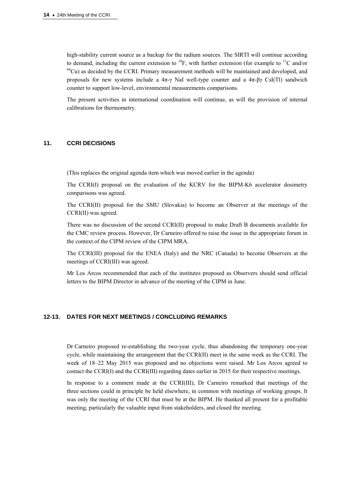high-stability current source as a backup for the radium sources. The SIRTI will continue according to demand, including the current extension to  $^{18}F$ , with further extension (for example to  $^{11}C$  and/or  $^{64}Cu$ ) as decided by the CCRI. Primary measurement methods will be maintained and developed, and proposals for new systems include a  $4\pi$ -γ NaI well-type counter and a  $4\pi$ -βγ CsI(Tl) sandwich counter to support low-level, environmental measurements comparisons.

The present activities in international coordination will continue, as will the provision of internal calibrations for thermometry.

### **11. CCRI DECISIONS**

(This replaces the original agenda item which was moved earlier in the agenda)

The CCRI(I) proposal on the evaluation of the KCRV for the BIPM-K6 accelerator dosimetry comparisons was agreed.

The CCRI(II) proposal for the SMU (Slovakia) to become an Observer at the meetings of the CCRI(II) was agreed.

There was no discussion of the second CCRI(II) proposal to make Draft B documents available for the CMC review process. However, Dr Carneiro offered to raise the issue in the appropriate forum in the context of the CIPM review of the CIPM MRA.

The CCRI(III) proposal for the ENEA (Italy) and the NRC (Canada) to become Observers at the meetings of CCRI(III) was agreed.

Mr Los Arcos recommended that each of the institutes proposed as Observers should send official letters to the BIPM Director in advance of the meeting of the CIPM in June.

#### **12-13. DATES FOR NEXT MEETINGS / CONCLUDING REMARKS**

Dr Carneiro proposed re-establishing the two-year cycle, thus abandoning the temporary one-year cycle, while maintaining the arrangement that the CCRI(II) meet in the same week as the CCRI. The week of 18–22 May 2015 was proposed and no objections were raised. Mr Los Arcos agreed to contact the CCRI(I) and the CCRI(III) regarding dates earlier in 2015 for their respective meetings.

In response to a comment made at the CCRI(III), Dr Carneiro remarked that meetings of the three sections could in principle be held elsewhere, in common with meetings of working groups. It was only the meeting of the CCRI that must be at the BIPM. He thanked all present for a profitable meeting, particularly the valuable input from stakeholders, and closed the meeting.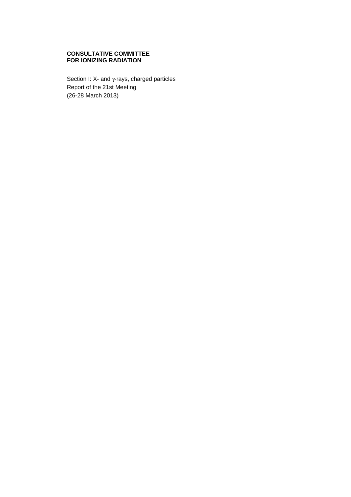### **CONSULTATIVE COMMITTEE FOR IONIZING RADIATION**

Section I: X- and γ-rays, charged particles Report of the 21st Meeting (26-28 March 2013)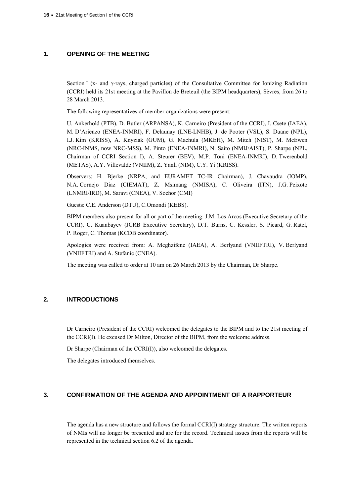### **1. OPENING OF THE MEETING**

Section I (x- and γ-rays, charged particles) of the Consultative Committee for Ionizing Radiation (CCRI) held its 21st meeting at the Pavillon de Breteuil (the BIPM headquarters), Sèvres, from 26 to 28 March 2013.

The following representatives of member organizations were present:

U. Ankerhold (PTB), D. Butler (ARPANSA), K. Carneiro (President of the CCRI), I. Csete (IAEA), M. D'Arienzo (ENEA-INMRI), F. Delaunay (LNE-LNHB), J. de Pooter (VSL), S. Duane (NPL), I.J. Kim (KRISS), A. Knyziak (GUM), G. Machula (MKEH), M. Mitch (NIST), M. McEwen (NRC-INMS, now NRC-MSS), M. Pinto (ENEA-INMRI), N. Saito (NMIJ/AIST), P. Sharpe (NPL, Chairman of CCRI Section I), A. Steurer (BEV), M.P. Toni (ENEA-INMRI), D. Twerenbold (METAS), A.Y. Villevalde (VNIIM), Z. Yanli (NIM), C.Y. Yi (KRISS).

Observers: H. Bjerke (NRPA, and EURAMET TC-IR Chairman), J. Chavaudra (IOMP), N.A. Cornejo Diaz (CIEMAT), Z. Msimang (NMISA), C. Oliveira (ITN), J.G. Peixoto (LNMRI/IRD), M. Saravi (CNEA), V. Sochor (CMI)

Guests: C.E. Anderson (DTU), C.Omondi (KEBS).

BIPM members also present for all or part of the meeting: J.M. Los Arcos (Executive Secretary of the CCRI), C. Kuanbayev (JCRB Executive Secretary), D.T. Burns, C. Kessler, S. Picard, G. Ratel, P. Roger, C. Thomas (KCDB coordinator).

Apologies were received from: A. Meghzifene (IAEA), A. Berlyand (VNIIFTRI), V. Berlyand (VNIIFTRI) and A. Stefanic (CNEA).

The meeting was called to order at 10 am on 26 March 2013 by the Chairman, Dr Sharpe.

### **2. INTRODUCTIONS**

Dr Carneiro (President of the CCRI) welcomed the delegates to the BIPM and to the 21st meeting of the CCRI(I). He excused Dr Milton, Director of the BIPM, from the welcome address.

Dr Sharpe (Chairman of the CCRI(I)), also welcomed the delegates.

The delegates introduced themselves.

### **3. CONFIRMATION OF THE AGENDA AND APPOINTMENT OF A RAPPORTEUR**

The agenda has a new structure and follows the formal CCRI(I) strategy structure. The written reports of NMIs will no longer be presented and are for the record. Technical issues from the reports will be represented in the technical section 6.2 of the agenda.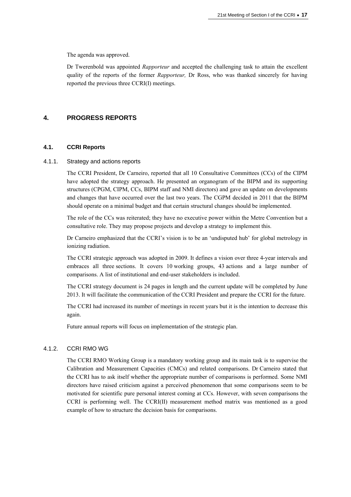The agenda was approved.

Dr Twerenbold was appointed *Rapporteur* and accepted the challenging task to attain the excellent quality of the reports of the former *Rapporteur,* Dr Ross, who was thanked sincerely for having reported the previous three CCRI(I) meetings.

### **4. PROGRESS REPORTS**

### **4.1. CCRI Reports**

#### 4.1.1. Strategy and actions reports

The CCRI President, Dr Carneiro, reported that all 10 Consultative Committees (CCs) of the CIPM have adopted the strategy approach. He presented an organogram of the BIPM and its supporting structures (CPGM, CIPM, CCs, BIPM staff and NMI directors) and gave an update on developments and changes that have occurred over the last two years. The CGPM decided in 2011 that the BIPM should operate on a minimal budget and that certain structural changes should be implemented.

The role of the CCs was reiterated; they have no executive power within the Metre Convention but a consultative role. They may propose projects and develop a strategy to implement this.

Dr Carneiro emphasized that the CCRI's vision is to be an 'undisputed hub' for global metrology in ionizing radiation.

The CCRI strategic approach was adopted in 2009. It defines a vision over three 4-year intervals and embraces all three sections. It covers 10 working groups, 43 actions and a large number of comparisons. A list of institutional and end-user stakeholders is included.

The CCRI strategy document is 24 pages in length and the current update will be completed by June 2013. It will facilitate the communication of the CCRI President and prepare the CCRI for the future.

The CCRI had increased its number of meetings in recent years but it is the intention to decrease this again.

Future annual reports will focus on implementation of the strategic plan.

#### 4.1.2. CCRI RMO WG

The CCRI RMO Working Group is a mandatory working group and its main task is to supervise the Calibration and Measurement Capacities (CMCs) and related comparisons. Dr Carneiro stated that the CCRI has to ask itself whether the appropriate number of comparisons is performed. Some NMI directors have raised criticism against a perceived phenomenon that some comparisons seem to be motivated for scientific pure personal interest coming at CCs. However, with seven comparisons the CCRI is performing well. The CCRI(II) measurement method matrix was mentioned as a good example of how to structure the decision basis for comparisons.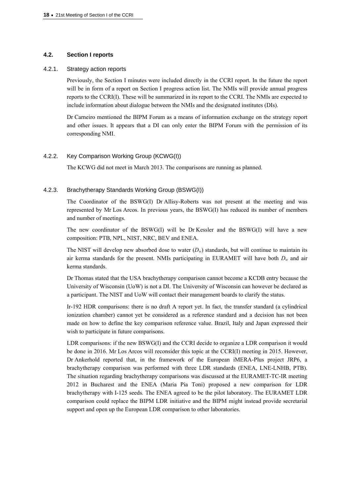### **4.2. Section I reports**

### 4.2.1. Strategy action reports

Previously, the Section I minutes were included directly in the CCRI report. In the future the report will be in form of a report on Section I progress action list. The NMIs will provide annual progress reports to the CCRI(I). These will be summarized in its report to the CCRI. The NMIs are expected to include information about dialogue between the NMIs and the designated institutes (DIs).

Dr Carneiro mentioned the BIPM Forum as a means of information exchange on the strategy report and other issues. It appears that a DI can only enter the BIPM Forum with the permission of its corresponding NMI.

### 4.2.2. Key Comparison Working Group (KCWG(I))

The KCWG did not meet in March 2013. The comparisons are running as planned.

### 4.2.3. Brachytherapy Standards Working Group (BSWG(I))

The Coordinator of the BSWG(I) Dr Allisy-Roberts was not present at the meeting and was represented by Mr Los Arcos. In previous years, the BSWG(I) has reduced its number of members and number of meetings.

The new coordinator of the BSWG(I) will be Dr Kessler and the BSWG(I) will have a new composition: PTB, NPL, NIST, NRC, BEV and ENEA.

The NIST will develop new absorbed dose to water  $(D_w)$  standards, but will continue to maintain its air kerma standards for the present. NMIs participating in EURAMET will have both  $D_w$  and air kerma standards.

Dr Thomas stated that the USA brachytherapy comparison cannot become a KCDB entry because the University of Wisconsin (UoW) is not a DI. The University of Wisconsin can however be declared as a participant. The NIST and UoW will contact their management boards to clarify the status.

Ir-192 HDR comparisons: there is no draft A report yet. In fact, the transfer standard (a cylindrical ionization chamber) cannot yet be considered as a reference standard and a decision has not been made on how to define the key comparison reference value. Brazil, Italy and Japan expressed their wish to participate in future comparisons.

LDR comparisons: if the new BSWG(I) and the CCRI decide to organize a LDR comparison it would be done in 2016. Mr Los Arcos will reconsider this topic at the CCRI(I) meeting in 2015. However, Dr Ankerhold reported that, in the framework of the European iMERA-Plus project JRP6, a brachytherapy comparison was performed with three LDR standards (ENEA, LNE-LNHB, PTB). The situation regarding brachytherapy comparisons was discussed at the EURAMET-TC-IR meeting 2012 in Bucharest and the ENEA (Maria Pia Toni) proposed a new comparison for LDR brachytherapy with I-125 seeds. The ENEA agreed to be the pilot laboratory. The EURAMET LDR comparison could replace the BIPM LDR initiative and the BIPM might instead provide secretarial support and open up the European LDR comparison to other laboratories.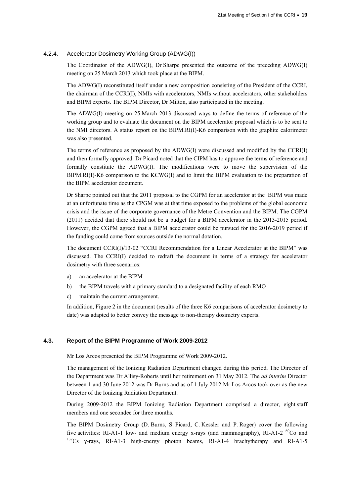### 4.2.4. Accelerator Dosimetry Working Group (ADWG(I))

The Coordinator of the ADWG(I), Dr Sharpe presented the outcome of the preceding ADWG(I) meeting on 25 March 2013 which took place at the BIPM.

The ADWG(I) reconstituted itself under a new composition consisting of the President of the CCRI, the chairman of the CCRI(I), NMIs with accelerators, NMIs without accelerators, other stakeholders and BIPM experts. The BIPM Director, Dr Milton, also participated in the meeting.

The ADWG(I) meeting on 25 March 2013 discussed ways to define the terms of reference of the working group and to evaluate the document on the BIPM accelerator proposal which is to be sent to the NMI directors. A status report on the BIPM.RI(I)-K6 comparison with the graphite calorimeter was also presented.

The terms of reference as proposed by the ADWG(I) were discussed and modified by the CCRI(I) and then formally approved. Dr Picard noted that the CIPM has to approve the terms of reference and formally constitute the ADWG(I). The modifications were to move the supervision of the BIPM.RI(I)-K6 comparison to the KCWG(I) and to limit the BIPM evaluation to the preparation of the BIPM accelerator document.

Dr Sharpe pointed out that the 2011 proposal to the CGPM for an accelerator at the BIPM was made at an unfortunate time as the CPGM was at that time exposed to the problems of the global economic crisis and the issue of the corporate governance of the Metre Convention and the BIPM. The CGPM (2011) decided that there should not be a budget for a BIPM accelerator in the 2013-2015 period. However, the CGPM agreed that a BIPM accelerator could be pursued for the 2016-2019 period if the funding could come from sources outside the normal dotation.

The document CCRI(I)/13-02 "CCRI Recommendation for a Linear Accelerator at the BIPM" was discussed. The CCRI(I) decided to redraft the document in terms of a strategy for accelerator dosimetry with three scenarios:

- a) an accelerator at the BIPM
- b) the BIPM travels with a primary standard to a designated facility of each RMO
- c) maintain the current arrangement.

In addition, Figure 2 in the document (results of the three K6 comparisons of accelerator dosimetry to date) was adapted to better convey the message to non-therapy dosimetry experts.

### **4.3. Report of the BIPM Programme of Work 2009-2012**

Mr Los Arcos presented the BIPM Programme of Work 2009-2012.

The management of the Ionizing Radiation Department changed during this period. The Director of the Department was Dr Allisy-Roberts until her retirement on 31 May 2012. The *ad interim* Director between 1 and 30 June 2012 was Dr Burns and as of 1 July 2012 Mr Los Arcos took over as the new Director of the Ionizing Radiation Department.

During 2009-2012 the BIPM Ionizing Radiation Department comprised a director, eight staff members and one secondee for three months.

The BIPM Dosimetry Group (D. Burns, S. Picard, C. Kessler and P. Roger) cover the following five activities: RI-A1-1 low- and medium energy x-rays (and mammography), RI-A1-2 <sup>60</sup>Co and 137Cs γ-rays, RI-A1-3 high-energy photon beams, RI-A1-4 brachytherapy and RI-A1-5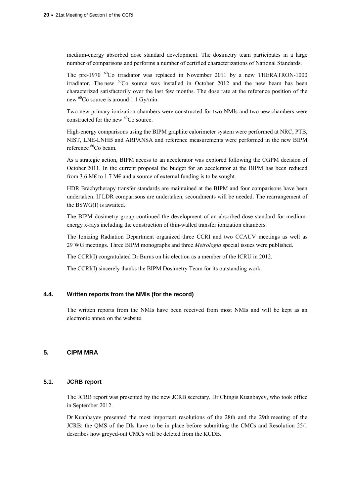medium-energy absorbed dose standard development. The dosimetry team participates in a large number of comparisons and performs a number of certified characterizations of National Standards.

The pre-1970 <sup>60</sup>Co irradiator was replaced in November 2011 by a new THERATRON-1000 irradiator. The new  ${}^{60}Co$  source was installed in October 2012 and the new beam has been characterized satisfactorily over the last few months. The dose rate at the reference position of the new 60Co source is around 1.1 Gy/min.

Two new primary ionization chambers were constructed for two NMIs and two new chambers were constructed for the new <sup>60</sup>Co source.

High-energy comparisons using the BIPM graphite calorimeter system were performed at NRC, PTB, NIST, LNE-LNHB and ARPANSA and reference measurements were performed in the new BIPM reference 60Co beam.

As a strategic action, BIPM access to an accelerator was explored following the CGPM decision of October 2011. In the current proposal the budget for an accelerator at the BIPM has been reduced from 3.6 M€ to 1.7 M€ and a source of external funding is to be sought.

HDR Brachytherapy transfer standards are maintained at the BIPM and four comparisons have been undertaken. If LDR comparisons are undertaken, secondments will be needed. The rearrangement of the BSWG(I) is awaited.

The BIPM dosimetry group continued the development of an absorbed-dose standard for mediumenergy x-rays including the construction of thin-walled transfer ionization chambers.

The Ionizing Radiation Department organized three CCRI and two CCAUV meetings as well as 29 WG meetings. Three BIPM monographs and three *Metrologia* special issues were published.

The CCRI(I) congratulated Dr Burns on his election as a member of the ICRU in 2012.

The CCRI(I) sincerely thanks the BIPM Dosimetry Team for its outstanding work.

# **4.4. Written reports from the NMIs (for the record)**

The written reports from the NMIs have been received from most NMIs and will be kept as an electronic annex on the website.

# **5. CIPM MRA**

### **5.1. JCRB report**

The JCRB report was presented by the new JCRB secretary, Dr Chingis Kuanbayev, who took office in September 2012.

Dr Kuanbayev presented the most important resolutions of the 28th and the 29th meeting of the JCRB: the QMS of the DIs have to be in place before submitting the CMCs and Resolution 25/1 describes how greyed-out CMCs will be deleted from the KCDB.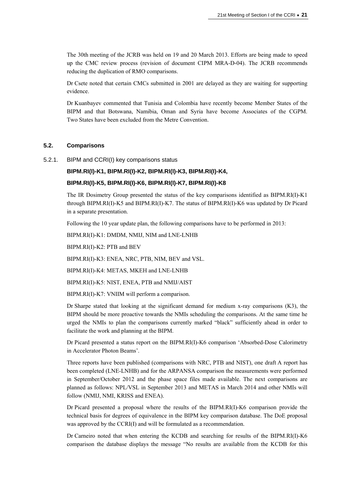The 30th meeting of the JCRB was held on 19 and 20 March 2013. Efforts are being made to speed up the CMC review process (revision of document CIPM MRA-D-04). The JCRB recommends reducing the duplication of RMO comparisons.

Dr Csete noted that certain CMCs submitted in 2001 are delayed as they are waiting for supporting evidence.

Dr Kuanbayev commented that Tunisia and Colombia have recently become Member States of the BIPM and that Botswana, Namibia, Oman and Syria have become Associates of the CGPM. Two States have been excluded from the Metre Convention.

### **5.2. Comparisons**

5.2.1. BIPM and CCRI(I) key comparisons status

### **BIPM.RI(I)-K1, BIPM.RI(I)-K2, BIPM.RI(I)-K3, BIPM.RI(I)-K4,**

### **BIPM.RI(I)-K5, BIPM.RI(I)-K6, BIPM.RI(I)-K7, BIPM.RI(I)-K8**

The IR Dosimetry Group presented the status of the key comparisons identified as BIPM.RI(I)-K1 through BIPM.RI(I)-K5 and BIPM.RI(I)-K7. The status of BIPM.RI(I)-K6 was updated by Dr Picard in a separate presentation.

Following the 10 year update plan, the following comparisons have to be performed in 2013:

BIPM.RI(I)-K1: DMDM, NMIJ, NIM and LNE-LNHB

BIPM.RI(I)-K2: PTB and BEV

BIPM.RI(I)-K3: ENEA, NRC, PTB, NIM, BEV and VSL.

BIPM.RI(I)-K4: METAS, MKEH and LNE-LNHB

BIPM.RI(I)-K5: NIST, ENEA, PTB and NMIJ/AIST

BIPM.RI(I)-K7: VNIIM will perform a comparison.

Dr Sharpe stated that looking at the significant demand for medium x-ray comparisons (K3), the BIPM should be more proactive towards the NMIs scheduling the comparisons. At the same time he urged the NMIs to plan the comparisons currently marked "black" sufficiently ahead in order to facilitate the work and planning at the BIPM.

Dr Picard presented a status report on the BIPM.RI(I)-K6 comparison 'Absorbed-Dose Calorimetry in Accelerator Photon Beams'.

Three reports have been published (comparisons with NRC, PTB and NIST), one draft A report has been completed (LNE-LNHB) and for the ARPANSA comparison the measurements were performed in September/October 2012 and the phase space files made available. The next comparisons are planned as follows: NPL/VSL in September 2013 and METAS in March 2014 and other NMIs will follow (NMIJ, NMI, KRISS and ENEA).

Dr Picard presented a proposal where the results of the BIPM.RI(I)-K6 comparison provide the technical basis for degrees of equivalence in the BIPM key comparison database. The DoE proposal was approved by the CCRI(I) and will be formulated as a recommendation.

Dr Carneiro noted that when entering the KCDB and searching for results of the BIPM.RI(I)-K6 comparison the database displays the message "No results are available from the KCDB for this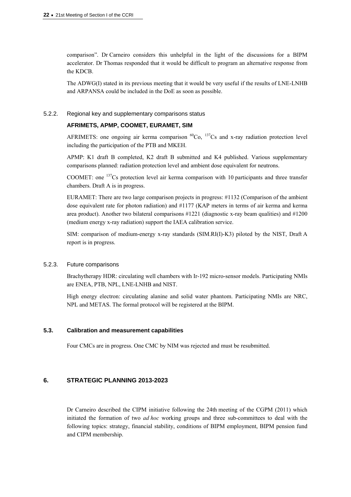comparison". Dr Carneiro considers this unhelpful in the light of the discussions for a BIPM accelerator. Dr Thomas responded that it would be difficult to program an alternative response from the KDCB.

The ADWG(I) stated in its previous meeting that it would be very useful if the results of LNE-LNHB and ARPANSA could be included in the DoE as soon as possible.

### 5.2.2. Regional key and supplementary comparisons status

# **AFRIMETS, APMP, COOMET, EURAMET, SIM**

AFRIMETS: one ongoing air kerma comparison  ${}^{60}Co$ ,  ${}^{137}Cs$  and x-ray radiation protection level including the participation of the PTB and MKEH.

APMP: K1 draft B completed, K2 draft B submitted and K4 published. Various supplementary comparisons planned: radiation protection level and ambient dose equivalent for neutrons.

COOMET: one 137Cs protection level air kerma comparison with 10 participants and three transfer chambers. Draft A is in progress.

EURAMET: There are two large comparison projects in progress: #1132 (Comparison of the ambient dose equivalent rate for photon radiation) and #1177 (KAP meters in terms of air kerma and kerma area product). Another two bilateral comparisons #1221 (diagnostic x-ray beam qualities) and #1200 (medium energy x-ray radiation) support the IAEA calibration service.

SIM: comparison of medium-energy x-ray standards (SIM.RI(I)-K3) piloted by the NIST, Draft A report is in progress.

### 5.2.3. Future comparisons

Brachytherapy HDR: circulating well chambers with Ir-192 micro-sensor models. Participating NMIs are ENEA, PTB, NPL, LNE-LNHB and NIST.

High energy electron: circulating alanine and solid water phantom. Participating NMIs are NRC, NPL and METAS. The formal protocol will be registered at the BIPM.

### **5.3. Calibration and measurement capabilities**

Four CMCs are in progress. One CMC by NIM was rejected and must be resubmitted.

# **6. STRATEGIC PLANNING 2013-2023**

Dr Carneiro described the CIPM initiative following the 24th meeting of the CGPM (2011) which initiated the formation of two *ad hoc* working groups and three sub-committees to deal with the following topics: strategy, financial stability, conditions of BIPM employment, BIPM pension fund and CIPM membership.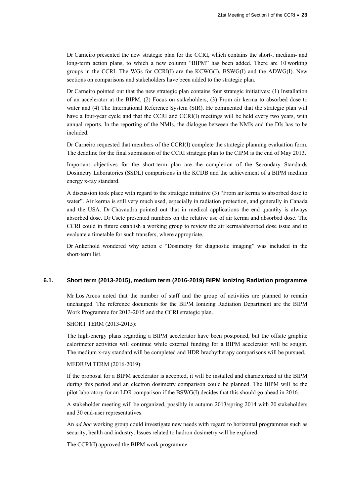Dr Carneiro presented the new strategic plan for the CCRI, which contains the short-, medium- and long-term action plans, to which a new column "BIPM" has been added. There are 10 working groups in the CCRI. The WGs for CCRI(I) are the KCWG(I), BSWG(I) and the ADWG(I). New sections on comparisons and stakeholders have been added to the strategic plan.

Dr Carneiro pointed out that the new strategic plan contains four strategic initiatives: (1) Installation of an accelerator at the BIPM, (2) Focus on stakeholders, (3) From air kerma to absorbed dose to water and (4) The International Reference System (SIR). He commented that the strategic plan will have a four-year cycle and that the CCRI and CCRI(I) meetings will be held every two years, with annual reports. In the reporting of the NMIs, the dialogue between the NMIs and the DIs has to be included.

Dr Carneiro requested that members of the CCRI(I) complete the strategic planning evaluation form. The deadline for the final submission of the CCRI strategic plan to the CIPM is the end of May 2013.

Important objectives for the short-term plan are the completion of the Secondary Standards Dosimetry Laboratories (SSDL) comparisons in the KCDB and the achievement of a BIPM medium energy x-ray standard.

A discussion took place with regard to the strategic initiative (3) "From air kerma to absorbed dose to water". Air kerma is still very much used, especially in radiation protection, and generally in Canada and the USA. Dr Chavaudra pointed out that in medical applications the end quantity is always absorbed dose. Dr Csete presented numbers on the relative use of air kerma and absorbed dose. The CCRI could in future establish a working group to review the air kerma/absorbed dose issue and to evaluate a timetable for such transfers, where appropriate.

Dr Ankerhold wondered why action c "Dosimetry for diagnostic imaging" was included in the short-term list.

### **6.1. Short term (2013-2015), medium term (2016-2019) BIPM Ionizing Radiation programme**

Mr Los Arcos noted that the number of staff and the group of activities are planned to remain unchanged. The reference documents for the BIPM Ionizing Radiation Department are the BIPM Work Programme for 2013-2015 and the CCRI strategic plan.

SHORT TERM (2013-2015):

The high-energy plans regarding a BIPM accelerator have been postponed, but the offsite graphite calorimeter activities will continue while external funding for a BIPM accelerator will be sought. The medium x-ray standard will be completed and HDR brachytherapy comparisons will be pursued.

### MEDIUM TERM (2016-2019):

If the proposal for a BIPM accelerator is accepted, it will be installed and characterized at the BIPM during this period and an electron dosimetry comparison could be planned. The BIPM will be the pilot laboratory for an LDR comparison if the BSWG(I) decides that this should go ahead in 2016.

A stakeholder meeting will be organized, possibly in autumn 2013/spring 2014 with 20 stakeholders and 30 end-user representatives.

An *ad hoc* working group could investigate new needs with regard to horizontal programmes such as security, health and industry. Issues related to hadron dosimetry will be explored.

The CCRI(I) approved the BIPM work programme.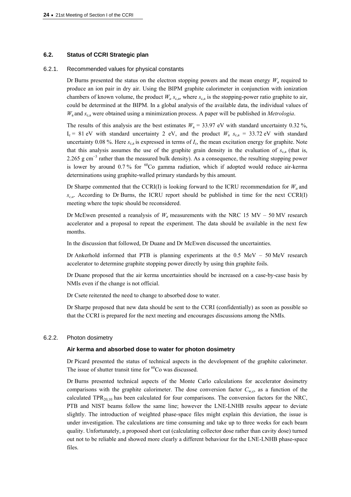### **6.2. Status of CCRI Strategic plan**

#### 6.2.1. Recommended values for physical constants

Dr Burns presented the status on the electron stopping powers and the mean energy  $W_a$  required to produce an ion pair in dry air. Using the BIPM graphite calorimeter in conjunction with ionization chambers of known volume, the product  $W_a s_{\rm c,a}$ , where  $s_{\rm c,a}$  is the stopping-power ratio graphite to air, could be determined at the BIPM. In a global analysis of the available data, the individual values of *W*a and *s*c,a were obtained using a minimization process. A paper will be published in *Metrologia*.

The results of this analysis are the best estimates  $W_a = 33.97$  eV with standard uncertainty 0.32 %,  $I_c = 81$  eV with standard uncertainty 2 eV, and the product  $W_a s_{ca} = 33.72$  eV with standard uncertainty 0.08 %. Here  $s_{c,a}$  is expressed in terms of  $I_c$ , the mean excitation energy for graphite. Note that this analysis assumes the use of the graphite grain density in the evaluation of  $s_{ca}$  (that is, 2.265 g cm<sup>-3</sup> rather than the measured bulk density). As a consequence, the resulting stopping power is lower by around  $0.7\%$  for  ${}^{60}Co$  gamma radiation, which if adopted would reduce air-kerma determinations using graphite-walled primary standards by this amount.

Dr Sharpe commented that the CCRI(I) is looking forward to the ICRU recommendation for  $W_a$  and *sc,a*. According to Dr Burns, the ICRU report should be published in time for the next CCRI(I) meeting where the topic should be reconsidered.

Dr McEwen presented a reanalysis of  $W_a$  measurements with the NRC 15 MV – 50 MV research accelerator and a proposal to repeat the experiment. The data should be available in the next few months.

In the discussion that followed, Dr Duane and Dr McEwen discussed the uncertainties.

Dr Ankerhold informed that PTB is planning experiments at the  $0.5 \text{ MeV} - 50 \text{ MeV}$  research accelerator to determine graphite stopping power directly by using thin graphite foils.

Dr Duane proposed that the air kerma uncertainties should be increased on a case-by-case basis by NMIs even if the change is not official.

Dr Csete reiterated the need to change to absorbed dose to water.

Dr Sharpe proposed that new data should be sent to the CCRI (confidentially) as soon as possible so that the CCRI is prepared for the next meeting and encourages discussions among the NMIs.

#### 6.2.2. Photon dosimetry

#### **Air kerma and absorbed dose to water for photon dosimetry**

Dr Picard presented the status of technical aspects in the development of the graphite calorimeter. The issue of shutter transit time for  ${}^{60}Co$  was discussed.

Dr Burns presented technical aspects of the Monte Carlo calculations for accelerator dosimetry comparisons with the graphite calorimeter. The dose conversion factor  $C_{w,c}$ , as a function of the calculated TPR $_{20.10}$  has been calculated for four comparisons. The conversion factors for the NRC, PTB and NIST beams follow the same line; however the LNE-LNHB results appear to deviate slightly. The introduction of weighted phase-space files might explain this deviation, the issue is under investigation. The calculations are time consuming and take up to three weeks for each beam quality. Unfortunately, a proposed short cut (calculating collector dose rather than cavity dose) turned out not to be reliable and showed more clearly a different behaviour for the LNE-LNHB phase-space files.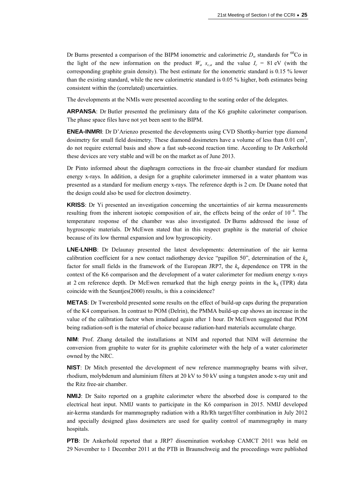Dr Burns presented a comparison of the BIPM ionometric and calorimetric  $D_w$  standards for <sup>60</sup>Co in the light of the new information on the product  $W_a$   $s_{c,a}$  and the value  $I_c = 81$  eV (with the corresponding graphite grain density). The best estimate for the ionometric standard is 0.15 % lower than the existing standard, while the new calorimetric standard is 0.05 % higher, both estimates being consistent within the (correlated) uncertainties.

The developments at the NMIs were presented according to the seating order of the delegates.

**ARPANSA**: Dr Butler presented the preliminary data of the K6 graphite calorimeter comparison. The phase space files have not yet been sent to the BIPM.

**ENEA-INMRI**: Dr D'Arienzo presented the developments using CVD Shottky-barrier type diamond dosimetry for small field dosimetry. These diamond dosimeters have a volume of less than  $0.01 \text{ cm}^3$ , do not require external basis and show a fast sub-second reaction time. According to Dr Ankerhold these devices are very stable and will be on the market as of June 2013.

Dr Pinto informed about the diaphragm corrections in the free-air chamber standard for medium energy x-rays. In addition, a design for a graphite calorimeter immersed in a water phantom was presented as a standard for medium energy x-rays. The reference depth is 2 cm. Dr Duane noted that the design could also be used for electron dosimetry.

**KRISS**: Dr Yi presented an investigation concerning the uncertainties of air kerma measurements resulting from the inherent isotopic composition of air, the effects being of the order of 10<sup>−</sup><sup>4</sup> . The temperature response of the chamber was also investigated. Dr Burns addressed the issue of hygroscopic materials. Dr McEwen stated that in this respect graphite is the material of choice because of its low thermal expansion and low hygroscopicity.

**LNE-LNHB**: Dr Delaunay presented the latest developments: determination of the air kerma calibration coefficient for a new contact radiotherapy device "papillon 50", determination of the  $k_q$ factor for small fields in the framework of the European JRP7, the  $k_q$  dependence on TPR in the context of the K6 comparison and the development of a water calorimeter for medium energy x-rays at 2 cm reference depth. Dr McEwen remarked that the high energy points in the  $k_q$  (TPR) data coincide with the Seuntjes(2000) results, is this a coincidence?

**METAS**: Dr Twerenbold presented some results on the effect of build-up caps during the preparation of the K4 comparison. In contrast to POM (Delrin), the PMMA build-up cap shows an increase in the value of the calibration factor when irradiated again after 1 hour. Dr McEwen suggested that POM being radiation-soft is the material of choice because radiation-hard materials accumulate charge.

**NIM**: Prof. Zhang detailed the installations at NIM and reported that NIM will determine the conversion from graphite to water for its graphite calorimeter with the help of a water calorimeter owned by the NRC.

**NIST**: Dr Mitch presented the development of new reference mammography beams with silver, rhodium, molybdenum and aluminium filters at 20 kV to 50 kV using a tungsten anode x-ray unit and the Ritz free-air chamber.

**NMIJ**: Dr Saito reported on a graphite calorimeter where the absorbed dose is compared to the electrical heat input. NMIJ wants to participate in the K6 comparison in 2015. NMIJ developed air-kerma standards for mammography radiation with a Rh/Rh target/filter combination in July 2012 and specially designed glass dosimeters are used for quality control of mammography in many hospitals.

**PTB**: Dr Ankerhold reported that a JRP7 dissemination workshop CAMCT 2011 was held on 29 November to 1 December 2011 at the PTB in Braunschweig and the proceedings were published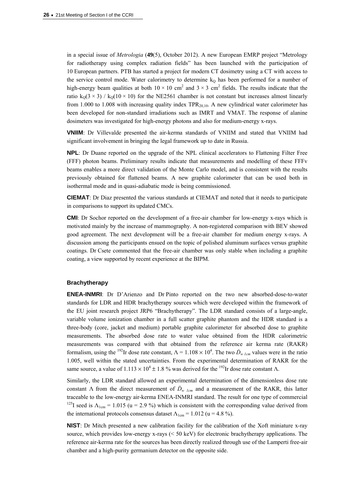in a special issue of *Metrologia* (**49**(5), October 2012). A new European EMRP project "Metrology for radiotherapy using complex radiation fields" has been launched with the participation of 10 European partners. PTB has started a project for modern CT dosimetry using a CT with access to the service control mode. Water calorimetry to determine  $k<sub>Q</sub>$  has been performed for a number of high-energy beam qualities at both  $10 \times 10$  cm<sup>2</sup> and  $3 \times 3$  cm<sup>2</sup> fields. The results indicate that the ratio  $k_0(3 \times 3)$  /  $k_0(10 \times 10)$  for the NE2561 chamber is not constant but increases almost linearly from 1.000 to 1.008 with increasing quality index  $TPR_{20,10}$ . A new cylindrical water calorimeter has been developed for non-standard irradiations such as IMRT and VMAT. The response of alanine dosimeters was investigated for high-energy photons and also for medium-energy x-rays.

**VNIIM**: Dr Villevalde presented the air-kerma standards of VNIIM and stated that VNIIM had significant involvement in bringing the legal framework up to date in Russia.

**NPL**: Dr Duane reported on the upgrade of the NPL clinical accelerators to Flattening Filter Free (FFF) photon beams. Preliminary results indicate that measurements and modelling of these FFFv beams enables a more direct validation of the Monte Carlo model, and is consistent with the results previously obtained for flattened beams. A new graphite calorimeter that can be used both in isothermal mode and in quasi-adiabatic mode is being commissioned.

**CIEMAT**: Dr Diaz presented the various standards at CIEMAT and noted that it needs to participate in comparisons to support its updated CMCs.

**CMI**: Dr Sochor reported on the development of a free-air chamber for low-energy x-rays which is motivated mainly by the increase of mammography. A non-registered comparison with BEV showed good agreement. The next development will be a free-air chamber for medium energy x-rays. A discussion among the participants ensued on the topic of polished aluminum surfaces versus graphite coatings. Dr Csete commented that the free-air chamber was only stable when including a graphite coating, a view supported by recent experience at the BIPM.

### **Brachytherapy**

**ENEA-INMRI**: Dr D'Arienzo and Dr Pinto reported on the two new absorbed-dose-to-water standards for LDR and HDR brachytherapy sources which were developed within the framework of the EU joint research project JRP6 "Brachytherapy". The LDR standard consists of a large-angle, variable volume ionization chamber in a full scatter graphite phantom and the HDR standard is a three-body (core, jacket and medium) portable graphite calorimeter for absorbed dose to graphite measurements. The absorbed dose rate to water value obtained from the HDR calorimetric measurements was compared with that obtained from the reference air kerma rate (RAKR) formalism, using the <sup>192</sup>Ir dose rate constant,  $\Lambda = 1.108 \times 10^4$ . The two  $\dot{D}_{w \text{ lcm}}$  values were in the ratio 1.005, well within the stated uncertainties. From the experimental determination of RAKR for the same source, a value of  $1.113 \times 10^4 \pm 1.8$  % was derived for the <sup>192</sup>Ir dose rate constant  $\Lambda$ .

Similarly, the LDR standard allowed an experimental determination of the dimensionless dose rate constant  $\Lambda$  from the direct measurement of  $\dot{D}_w$  <sub>1cm</sub> and a measurement of the RAKR, this latter traceable to the low-energy air-kerma ENEA-INMRI standard. The result for one type of commercial <sup>125</sup>I seed is  $\Lambda_{1cm}$  = 1.015 (u = 2.9 %) which is consistent with the corresponding value derived from the international protocols consensus dataset  $\Lambda_{1cm} = 1.012$  (u = 4.8 %).

**NIST**: Dr Mitch presented a new calibration facility for the calibration of the Xoft miniature x-ray source, which provides low-energy x-rays (< 50 keV) for electronic brachytherapy applications. The reference air-kerma rate for the sources has been directly realized through use of the Lamperti free-air chamber and a high-purity germanium detector on the opposite side.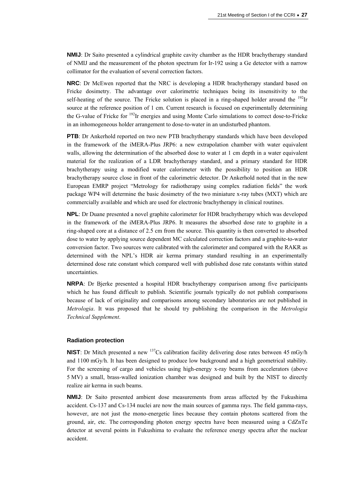**NMIJ**: Dr Saito presented a cylindrical graphite cavity chamber as the HDR brachytherapy standard of NMIJ and the measurement of the photon spectrum for Ir-192 using a Ge detector with a narrow collimator for the evaluation of several correction factors.

**NRC**: Dr McEwen reported that the NRC is developing a HDR brachytherapy standard based on Fricke dosimetry. The advantage over calorimetric techniques being its insensitivity to the self-heating of the source. The Fricke solution is placed in a ring-shaped holder around the  $^{192}$ Ir source at the reference position of 1 cm. Current research is focused on experimentally determining the G-value of Fricke for <sup>192</sup>Ir energies and using Monte Carlo simulations to correct dose-to-Fricke in an inhomogeneous holder arrangement to dose-to-water in an undisturbed phantom.

**PTB**: Dr Ankerhold reported on two new PTB brachytherapy standards which have been developed in the framework of the iMERA-Plus JRP6: a new extrapolation chamber with water equivalent walls, allowing the determination of the absorbed dose to water at 1 cm depth in a water equivalent material for the realization of a LDR brachytherapy standard, and a primary standard for HDR brachytherapy using a modified water calorimeter with the possibility to position an HDR brachytherapy source close in front of the calorimetric detector. Dr Ankerhold noted that in the new European EMRP project "Metrology for radiotherapy using complex radiation fields" the work package WP4 will determine the basic dosimetry of the two miniature x-ray tubes (MXT) which are commercially available and which are used for electronic brachytherapy in clinical routines.

**NPL**: Dr Duane presented a novel graphite calorimeter for HDR brachytherapy which was developed in the framework of the iMERA-Plus JRP6. It measures the absorbed dose rate to graphite in a ring-shaped core at a distance of 2.5 cm from the source. This quantity is then converted to absorbed dose to water by applying source dependent MC calculated correction factors and a graphite-to-water conversion factor. Two sources were calibrated with the calorimeter and compared with the RAKR as determined with the NPL's HDR air kerma primary standard resulting in an experimentally determined dose rate constant which compared well with published dose rate constants within stated uncertainties.

**NRPA**: Dr Bjerke presented a hospital HDR brachytherapy comparison among five participants which he has found difficult to publish. Scientific journals typically do not publish comparisons because of lack of originality and comparisons among secondary laboratories are not published in *Metrologia*. It was proposed that he should try publishing the comparison in the *Metrologia Technical Supplement*.

### **Radiation protection**

**NIST**: Dr Mitch presented a new <sup>137</sup>Cs calibration facility delivering dose rates between 45 mGy/h and 1100 mGy/h. It has been designed to produce low background and a high geometrical stability. For the screening of cargo and vehicles using high-energy x-ray beams from accelerators (above 5 MV) a small, brass-walled ionization chamber was designed and built by the NIST to directly realize air kerma in such beams.

**NMIJ**: Dr Saito presented ambient dose measurements from areas affected by the Fukushima accident. Cs-137 and Cs-134 nuclei are now the main sources of gamma rays. The field gamma-rays, however, are not just the mono-energetic lines because they contain photons scattered from the ground, air, etc. The corresponding photon energy spectra have been measured using a CdZnTe detector at several points in Fukushima to evaluate the reference energy spectra after the nuclear accident.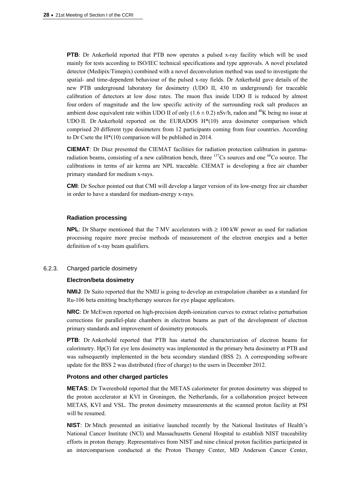**PTB**: Dr Ankerhold reported that PTB now operates a pulsed x-ray facility which will be used mainly for tests according to ISO/IEC technical specifications and type approvals. A novel pixelated detector (Medipix/Timepix) combined with a novel deconvolution method was used to investigate the spatial- and time-dependent behaviour of the pulsed x-ray fields. Dr Ankerhold gave details of the new PTB underground laboratory for dosimetry (UDO II, 430 m underground) for traceable calibration of detectors at low dose rates. The muon flux inside UDO II is reduced by almost four orders of magnitude and the low specific activity of the surrounding rock salt produces an ambient dose equivalent rate within UDO II of only  $(1.6 \pm 0.2)$  nSv/h, radon and <sup>40</sup>K being no issue at UDO II. Dr Ankerhold reported on the EURADOS H\*(10) area dosimeter comparison which comprised 20 different type dosimeters from 12 participants coming from four countries. According to Dr Csete the H\*(10) comparison will be published in 2014.

**CIEMAT**: Dr Diaz presented the CIEMAT facilities for radiation protection calibration in gammaradiation beams, consisting of a new calibration bench, three  $137Cs$  sources and one  $60Co$  source. The calibrations in terms of air kerma are NPL traceable. CIEMAT is developing a free air chamber primary standard for medium x-rays.

**CMI**: Dr Sochor pointed out that CMI will develop a larger version of its low-energy free air chamber in order to have a standard for medium-energy x-rays.

### **Radiation processing**

**NPL**: Dr Sharpe mentioned that the 7 MV accelerators with  $\geq 100$  kW power as used for radiation processing require more precise methods of measurement of the electron energies and a better definition of x-ray beam qualifiers.

#### 6.2.3. Charged particle dosimetry

#### **Electron/beta dosimetry**

**NMIJ**: Dr Saito reported that the NMIJ is going to develop an extrapolation chamber as a standard for Ru-106 beta emitting brachytherapy sources for eye plaque applicators.

**NRC**: Dr McEwen reported on high-precision depth-ionization curves to extract relative perturbation corrections for parallel-plate chambers in electron beams as part of the development of electron primary standards and improvement of dosimetry protocols.

**PTB**: Dr Ankerhold reported that PTB has started the characterization of electron beams for calorimetry. Hp(3) for eye lens dosimetry was implemented in the primary beta dosimetry at PTB and was subsequently implemented in the beta secondary standard (BSS 2). A corresponding software update for the BSS 2 was distributed (free of charge) to the users in December 2012.

### **Protons and other charged particles**

**METAS**: Dr Twerenbold reported that the METAS calorimeter for proton dosimetry was shipped to the proton accelerator at KVI in Groningen, the Netherlands, for a collaboration project between METAS, KVI and VSL. The proton dosimetry measurements at the scanned proton facility at PSI will be resumed.

**NIST**: Dr Mitch presented an initiative launched recently by the National Institutes of Health's National Cancer Institute (NCI) and Massachusetts General Hospital to establish NIST traceability efforts in proton therapy. Representatives from NIST and nine clinical proton facilities participated in an intercomparison conducted at the Proton Therapy Center, MD Anderson Cancer Center,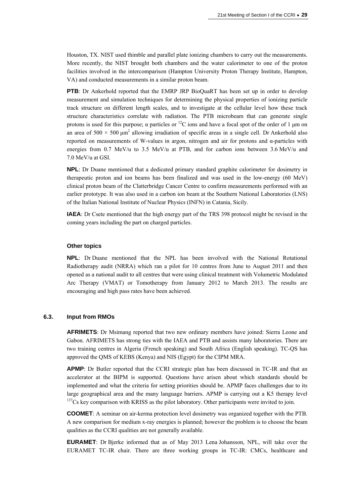Houston, TX. NIST used thimble and parallel plate ionizing chambers to carry out the measurements. More recently, the NIST brought both chambers and the water calorimeter to one of the proton facilities involved in the intercomparison (Hampton University Proton Therapy Institute, Hampton, VA) and conducted measurements in a similar proton beam.

**PTB**: Dr Ankerhold reported that the EMRP JRP BioQuaRT has been set up in order to develop measurement and simulation techniques for determining the physical properties of ionizing particle track structure on different length scales, and to investigate at the cellular level how these track structure characteristics correlate with radiation. The PTB microbeam that can generate single protons is used for this purpose;  $\alpha$  particles or <sup>12</sup>C ions and have a focal spot of the order of 1 µm on an area of  $500 \times 500 \mu m^2$  allowing irradiation of specific areas in a single cell. Dr Ankerhold also reported on measurements of W-values in argon, nitrogen and air for protons and  $\alpha$ -particles with energies from 0.7 MeV/u to 3.5 MeV/u at PTB, and for carbon ions between 3.6 MeV/u and 7.0 MeV/u at GSI.

**NPL**: Dr Duane mentioned that a dedicated primary standard graphite calorimeter for dosimetry in therapeutic proton and ion beams has been finalized and was used in the low-energy (60 MeV) clinical proton beam of the Clatterbridge Cancer Centre to confirm measurements performed with an earlier prototype. It was also used in a carbon ion beam at the Southern National Laboratories (LNS) of the Italian National Institute of Nuclear Physics (INFN) in Catania, Sicily.

**IAEA**: Dr Csete mentioned that the high energy part of the TRS 398 protocol might be revised in the coming years including the part on charged particles.

#### **Other topics**

**NPL**: Dr Duane mentioned that the NPL has been involved with the National Rotational Radiotherapy audit (NRRA) which ran a pilot for 10 centres from June to August 2011 and then opened as a national audit to all centres that were using clinical treatment with Volumetric Modulated Arc Therapy (VMAT) or Tomotherapy from January 2012 to March 2013. The results are encouraging and high pass rates have been achieved.

### **6.3. Input from RMOs**

**AFRIMETS**: Dr Msimang reported that two new ordinary members have joined: Sierra Leone and Gabon. AFRIMETS has strong ties with the IAEA and PTB and assists many laboratories. There are two training centres in Algeria (French speaking) and South Africa (English speaking). TC-QS has approved the QMS of KEBS (Kenya) and NIS (Egypt) for the CIPM MRA.

**APMP**: Dr Butler reported that the CCRI strategic plan has been discussed in TC-IR and that an accelerator at the BIPM is supported. Questions have arisen about which standards should be implemented and what the criteria for setting priorities should be. APMP faces challenges due to its large geographical area and the many language barriers. APMP is carrying out a K5 therapy level 137Cs key comparison with KRISS as the pilot laboratory. Other participants were invited to join.

**COOMET**: A seminar on air-kerma protection level dosimetry was organized together with the PTB. A new comparison for medium x-ray energies is planned; however the problem is to choose the beam qualities as the CCRI qualities are not generally available.

**EURAMET**: Dr Bjerke informed that as of May 2013 Lena Johansson, NPL, will take over the EURAMET TC-IR chair. There are three working groups in TC-IR: CMCs, healthcare and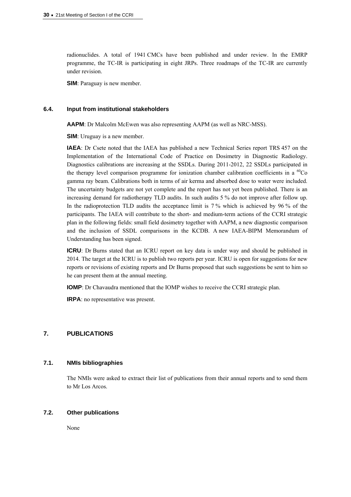radionuclides. A total of 1941 CMCs have been published and under review. In the EMRP programme, the TC-IR is participating in eight JRPs. Three roadmaps of the TC-IR are currently under revision.

**SIM**: Paraguay is new member.

#### **6.4. Input from institutional stakeholders**

**AAPM**: Dr Malcolm McEwen was also representing AAPM (as well as NRC-MSS).

**SIM**: Uruguay is a new member.

**IAEA**: Dr Csete noted that the IAEA has published a new Technical Series report TRS 457 on the Implementation of the International Code of Practice on Dosimetry in Diagnostic Radiology. Diagnostics calibrations are increasing at the SSDLs. During 2011-2012, 22 SSDLs participated in the therapy level comparison programme for ionization chamber calibration coefficients in a  ${}^{60}Co$ gamma ray beam. Calibrations both in terms of air kerma and absorbed dose to water were included. The uncertainty budgets are not yet complete and the report has not yet been published. There is an increasing demand for radiotherapy TLD audits. In such audits 5 % do not improve after follow up. In the radioprotection TLD audits the acceptance limit is 7 % which is achieved by 96 % of the participants. The IAEA will contribute to the short- and medium-term actions of the CCRI strategic plan in the following fields: small field dosimetry together with AAPM, a new diagnostic comparison and the inclusion of SSDL comparisons in the KCDB. A new IAEA-BIPM Memorandum of Understanding has been signed.

**ICRU**: Dr Burns stated that an ICRU report on key data is under way and should be published in 2014. The target at the ICRU is to publish two reports per year. ICRU is open for suggestions for new reports or revisions of existing reports and Dr Burns proposed that such suggestions be sent to him so he can present them at the annual meeting.

**IOMP**: Dr Chavaudra mentioned that the IOMP wishes to receive the CCRI strategic plan.

**IRPA**: no representative was present.

# **7. PUBLICATIONS**

### **7.1. NMIs bibliographies**

The NMIs were asked to extract their list of publications from their annual reports and to send them to Mr Los Arcos.

### **7.2. Other publications**

None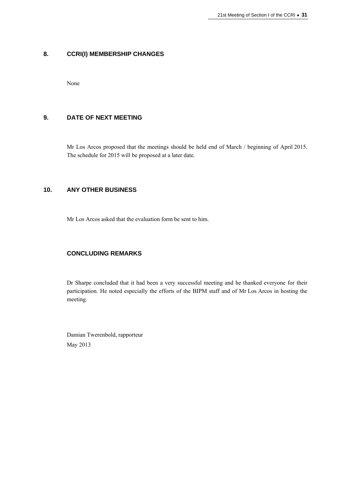## **8. CCRI(I) MEMBERSHIP CHANGES**

None

# **9. DATE OF NEXT MEETING**

Mr Los Arcos proposed that the meetings should be held end of March / beginning of April 2015. The schedule for 2015 will be proposed at a later date.

### **10. ANY OTHER BUSINESS**

Mr Los Arcos asked that the evaluation form be sent to him.

# **CONCLUDING REMARKS**

Dr Sharpe concluded that it had been a very successful meeting and he thanked everyone for their participation. He noted especially the efforts of the BIPM staff and of Mr Los Arcos in hosting the meeting.

Damian Twerenbold, rapporteur May 2013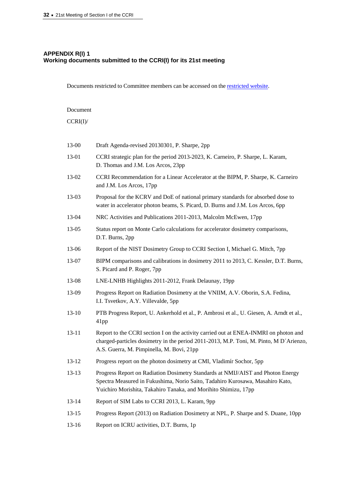# **APPENDIX R(I) 1 Working documents submitted to the CCRI(I) for its 21st meeting**

Documents restricted to Committee members can be accessed on th[e restricted website.](https://www.bipm.org/cc/CCRI(III)/Restricted/WorkingDocuments.jsp) 

Document

CCRI(I)/

| 13-00     | Draft Agenda-revised 20130301, P. Sharpe, 2pp                                                                                                                                                                                       |  |
|-----------|-------------------------------------------------------------------------------------------------------------------------------------------------------------------------------------------------------------------------------------|--|
| 13-01     | CCRI strategic plan for the period 2013-2023, K. Carneiro, P. Sharpe, L. Karam,<br>D. Thomas and J.M. Los Arcos, 23pp                                                                                                               |  |
| 13-02     | CCRI Recommendation for a Linear Accelerator at the BIPM, P. Sharpe, K. Carneiro<br>and J.M. Los Arcos, 17pp                                                                                                                        |  |
| 13-03     | Proposal for the KCRV and DoE of national primary standards for absorbed dose to<br>water in accelerator photon beams, S. Picard, D. Burns and J.M. Los Arcos, 6pp                                                                  |  |
| 13-04     | NRC Activities and Publications 2011-2013, Malcolm McEwen, 17pp                                                                                                                                                                     |  |
| $13-05$   | Status report on Monte Carlo calculations for accelerator dosimetry comparisons,<br>D.T. Burns, 2pp                                                                                                                                 |  |
| 13-06     | Report of the NIST Dosimetry Group to CCRI Section I, Michael G. Mitch, 7pp                                                                                                                                                         |  |
| 13-07     | BIPM comparisons and calibrations in dosimetry 2011 to 2013, C. Kessler, D.T. Burns,<br>S. Picard and P. Roger, 7pp                                                                                                                 |  |
| 13-08     | LNE-LNHB Highlights 2011-2012, Frank Delaunay, 19pp                                                                                                                                                                                 |  |
| 13-09     | Progress Report on Radiation Dosimetry at the VNIIM, A.V. Oborin, S.A. Fedina,<br>I.I. Tsvetkov, A.Y. Villevalde, 5pp                                                                                                               |  |
| $13 - 10$ | PTB Progress Report, U. Ankerhold et al., P. Ambrosi et al., U. Giesen, A. Arndt et al.,<br>41pp                                                                                                                                    |  |
| $13 - 11$ | Report to the CCRI section I on the activity carried out at ENEA-INMRI on photon and<br>charged-particles dosimetry in the period 2011-2013, M.P. Toni, M. Pinto, M D'Arienzo,<br>A.S. Guerra, M. Pimpinella, M. Bovi, 21pp         |  |
| $13 - 12$ | Progress report on the photon dosimetry at CMI, Vladimír Sochor, 5pp                                                                                                                                                                |  |
| $13 - 13$ | Progress Report on Radiation Dosimetry Standards at NMIJ/AIST and Photon Energy<br>Spectra Measured in Fukushima, Norio Saito, Tadahiro Kurosawa, Masahiro Kato,<br>Yuichiro Morishita, Takahiro Tanaka, and Morihito Shimizu, 17pp |  |
| $13 - 14$ | Report of SIM Labs to CCRI 2013, L. Karam, 9pp                                                                                                                                                                                      |  |
| $13 - 15$ | Progress Report (2013) on Radiation Dosimetry at NPL, P. Sharpe and S. Duane, 10pp                                                                                                                                                  |  |
| $13 - 16$ | Report on ICRU activities, D.T. Burns, 1p                                                                                                                                                                                           |  |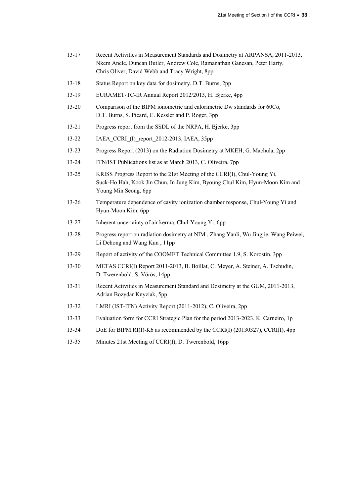- 13-17 Recent Activities in Measurement Standards and Dosimetry at ARPANSA, 2011-2013, Nkem Anele, Duncan Butler, Andrew Cole, Ramanathan Ganesan, Peter Harty, Chris Oliver, David Webb and Tracy Wright, 8pp
- 13-18 Status Report on key data for dosimetry, D.T. Burns, 2pp
- 13-19 EURAMET-TC-IR Annual Report 2012/2013, H. Bjerke, 4pp
- 13-20 Comparison of the BIPM ionometric and calorimetric Dw standards for 60Co, D.T. Burns, S. Picard, C. Kessler and P. Roger, 3pp
- 13-21 Progress report from the SSDL of the NRPA, H. Bjerke, 3pp
- 13-22 IAEA\_CCRI\_(I)\_report\_2012-2013, IAEA, 35pp
- 13-23 Progress Report (2013) on the Radiation Dosimetry at MKEH, G. Machula, 2pp
- 13-24 ITN/IST Publications list as at March 2013, C. Oliveira, 7pp
- 13-25 KRISS Progress Report to the 21st Meeting of the CCRI(I), Chul-Young Yi, Suck-Ho Hah, Kook Jin Chun, In Jung Kim, Byoung Chul Kim, Hyun-Moon Kim and Young Min Seong, 6pp
- 13-26 Temperature dependence of cavity ionization chamber response, Chul-Young Yi and Hyun-Moon Kim, 6pp
- 13-27 Inherent uncertainty of air kerma, Chul-Young Yi, 6pp
- 13-28 Progress report on radiation dosimetry at NIM , Zhang Yanli, Wu Jingjie, Wang Peiwei, Li Dehong and Wang Kun , 11pp
- 13-29 Report of activity of the COOMET Technical Committee 1.9, S. Korostin, 3pp
- 13-30 METAS CCRI(I) Report 2011-2013, B. Boillat, C. Meyer, A. Steiner, A. Tschudin, D. Twerenbold, S. Vörös, 14pp
- 13-31 Recent Activities in Measurement Standard and Dosimetry at the GUM, 2011-2013, Adrian Bozydar Knyziak, 5pp
- 13-32 LMRI (IST-ITN) Activity Report (2011-2012), C. Oliveira, 2pp
- 13-33 Evaluation form for CCRI Strategic Plan for the period 2013-2023, K. Carneiro, 1p
- 13-34 DoE for BIPM.RI(I)-K6 as recommended by the CCRI(I) (20130327), CCRI(I), 4pp
- 13-35 Minutes 21st Meeting of CCRI(I), D. Twerenbold, 16pp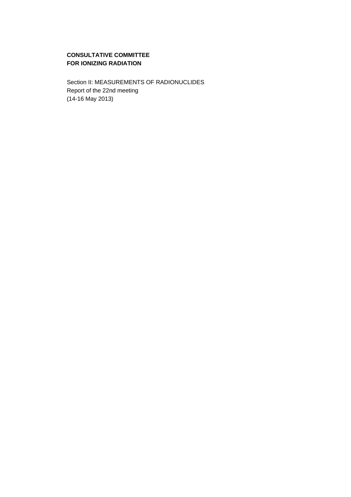# **CONSULTATIVE COMMITTEE FOR IONIZING RADIATION**

Section II: MEASUREMENTS OF RADIONUCLIDES Report of the 22nd meeting (14-16 May 2013)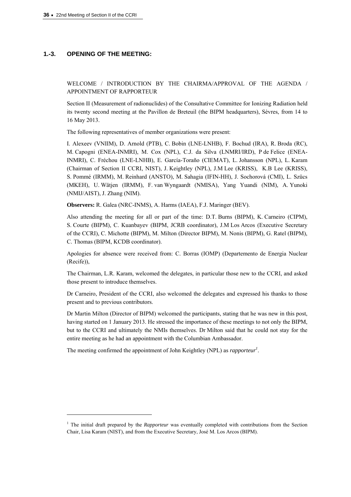### **1.-3. OPENING OF THE MEETING:**

 $\overline{a}$ 

WELCOME / INTRODUCTION BY THE CHAIRMA/APPROVAL OF THE AGENDA / APPOINTMENT OF RAPPORTEUR

Section II (Measurement of radionuclides) of the Consultative Committee for Ionizing Radiation held its twenty second meeting at the Pavillon de Breteuil (the BIPM headquarters), Sèvres, from 14 to 16 May 2013.

The following representatives of member organizations were present:

I. Alexeev (VNIIM), D. Arnold (PTB), C. Bobin (LNE-LNHB), F. Bochud (IRA), R. Broda (RC), M. Capogni (ENEA-INMRI), M. Cox (NPL), C.J. da Silva (LNMRI/IRD), P de Felice (ENEA-INMRI), C. Fréchou (LNE-LNHB), E. García-Toraño (CIEMAT), L. Johansson (NPL), L. Karam (Chairman of Section II CCRI, NIST), J. Keightley (NPL), J.M Lee (KRISS), K.B Lee (KRISS), S. Pommé (IRMM), M. Reinhard (ANSTO), M. Sahagia (IFIN-HH), J. Sochorová (CMI), L. Szücs (MKEH), U. Wätjen (IRMM), F. van Wyngaardt (NMISA), Yang Yuandi (NIM), A. Yunoki (NMIJ/AIST), J. Zhang (NIM).

**Observers:** R. Galea (NRC-INMS), A. Harms (IAEA), F.J. Maringer (BEV).

Also attending the meeting for all or part of the time: D.T. Burns (BIPM), K. Carneiro (CIPM), S. Courte (BIPM), C. Kuanbayev (BIPM, JCRB coordinator), J.M Los Arcos (Executive Secretary of the CCRI), C. Michotte (BIPM), M. Milton (Director BIPM), M. Nonis (BIPM), G. Ratel (BIPM), C. Thomas (BIPM, KCDB coordinator).

Apologies for absence were received from: C. Borras (IOMP) (Departemento de Energia Nuclear (Recife)),

The Chairman, L.R. Karam, welcomed the delegates, in particular those new to the CCRI, and asked those present to introduce themselves.

Dr Carneiro, President of the CCRI, also welcomed the delegates and expressed his thanks to those present and to previous contributors.

Dr Martin Milton (Director of BIPM) welcomed the participants, stating that he was new in this post, having started on 1 January 2013. He stressed the importance of these meetings to not only the BIPM, but to the CCRI and ultimately the NMIs themselves. Dr Milton said that he could not stay for the entire meeting as he had an appointment with the Columbian Ambassador.

The meeting confirmed the appointment of John Keightley (NPL) as *rapporteur*<sup>1</sup>.

<sup>&</sup>lt;sup>1</sup> The initial draft prepared by the *Rapporteur* was eventually completed with contributions from the Section Chair, Lisa Karam (NIST), and from the Executive Secretary, José M. Los Arcos (BIPM).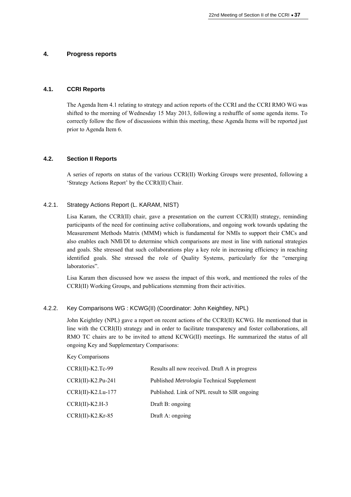### **4. Progress reports**

# **4.1. CCRI Reports**

The Agenda Item 4.1 relating to strategy and action reports of the CCRI and the CCRI RMO WG was shifted to the morning of Wednesday 15 May 2013, following a reshuffle of some agenda items. To correctly follow the flow of discussions within this meeting, these Agenda Items will be reported just prior to Agenda Item 6.

### **4.2. Section II Reports**

A series of reports on status of the various CCRI(II) Working Groups were presented, following a 'Strategy Actions Report' by the CCRI(II) Chair.

### 4.2.1. Strategy Actions Report (L. KARAM, NIST)

Lisa Karam, the CCRI(II) chair, gave a presentation on the current CCRI(II) strategy, reminding participants of the need for continuing active collaborations, and ongoing work towards updating the Measurement Methods Matrix (MMM) which is fundamental for NMIs to support their CMCs and also enables each NMI/DI to determine which comparisons are most in line with national strategies and goals. She stressed that such collaborations play a key role in increasing efficiency in reaching identified goals. She stressed the role of Quality Systems, particularly for the "emerging laboratories".

Lisa Karam then discussed how we assess the impact of this work, and mentioned the roles of the CCRI(II) Working Groups, and publications stemming from their activities.

#### 4.2.2. Key Comparisons WG : KCWG(II) (Coordinator: John Keightley, NPL)

John Keightley (NPL) gave a report on recent actions of the CCRI(II) KCWG. He mentioned that in line with the CCRI(II) strategy and in order to facilitate transparency and foster collaborations, all RMO TC chairs are to be invited to attend KCWG(II) meetings. He summarized the status of all ongoing Key and Supplementary Comparisons:

#### Key Comparisons

| $CCRI(II)-K2.Tc-99$  | Results all now received. Draft A in progress |
|----------------------|-----------------------------------------------|
| $CCRI(II)-K2.Pu-241$ | Published Metrologia Technical Supplement     |
| $CCRI(II)-K2.Lu-177$ | Published. Link of NPL result to SIR ongoing  |
| $CCRI(II)-K2.H-3$    | Draft B: ongoing                              |
| $CCRI(II)-K2.Kr-85$  | Draft A: ongoing                              |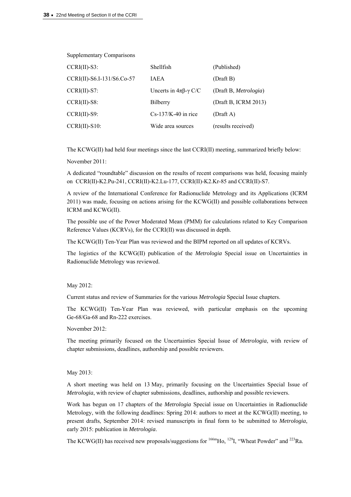Supplementary Comparisons

| $CCRI(II)-S3$ :            | Shellfish                             | (Published)           |
|----------------------------|---------------------------------------|-----------------------|
| CCRI(II)-S6.I-131/S6.Co-57 | <b>IAEA</b>                           | (Draft B)             |
| $CCRI(II)-S7$ :            | Uncerts in $4\pi\beta$ - $\gamma$ C/C | (Draft B, Metrologia) |
| $CCRI(II)-S8$ :            | Bilberry                              | (Draft B, ICRM 2013)  |
| $CCRI(II)-S9$ :            | $Cs-137/K-40$ in rice                 | (Draff A)             |
| $CCRI(II)-S10$ :           | Wide area sources                     | (results received)    |

The KCWG(II) had held four meetings since the last CCRI(II) meeting, summarized briefly below:

November 2011:

A dedicated "roundtable" discussion on the results of recent comparisons was held, focusing mainly on CCRI(II)-K2.Pu-241, CCRI(II)-K2.Lu-177, CCRI(II)-K2.Kr-85 and CCRI(II)-S7.

A review of the International Conference for Radionuclide Metrology and its Applications (ICRM 2011) was made, focusing on actions arising for the KCWG(II) and possible collaborations between ICRM and KCWG(II).

The possible use of the Power Moderated Mean (PMM) for calculations related to Key Comparison Reference Values (KCRVs), for the CCRI(II) was discussed in depth.

The KCWG(II) Ten-Year Plan was reviewed and the BIPM reported on all updates of KCRVs.

The logistics of the KCWG(II) publication of the *Metrologia* Special issue on Uncertainties in Radionuclide Metrology was reviewed.

#### May 2012:

Current status and review of Summaries for the various *Metrologia* Special Issue chapters.

The KCWG(II) Ten-Year Plan was reviewed, with particular emphasis on the upcoming Ge-68/Ga-68 and Rn-222 exercises.

November 2012:

The meeting primarily focused on the Uncertainties Special Issue of *Metrologia*, with review of chapter submissions, deadlines, authorship and possible reviewers.

#### May 2013:

A short meeting was held on 13 May, primarily focusing on the Uncertainties Special Issue of *Metrologia*, with review of chapter submissions, deadlines, authorship and possible reviewers.

Work has begun on 17 chapters of the *Metrologia* Special issue on Uncertainties in Radionuclide Metrology, with the following deadlines: Spring 2014: authors to meet at the KCWG(II) meeting, to present drafts, September 2014: revised manuscripts in final form to be submitted to *Metrologia*, early 2015: publication in *Metrologia*.

The KCWG(II) has received new proposals/suggestions for  $166mH_0$ ,  $129I$ , "Wheat Powder" and  $223Ra$ .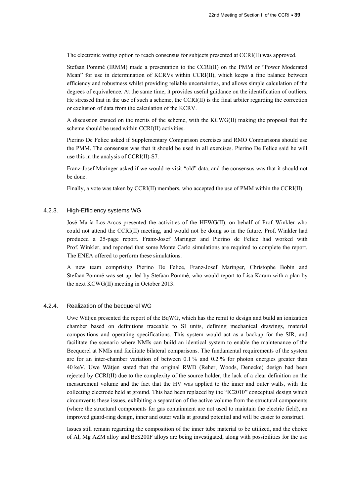The electronic voting option to reach consensus for subjects presented at CCRI(II) was approved.

Stefaan Pommé (IRMM) made a presentation to the CCRI(II) on the PMM or "Power Moderated Mean" for use in determination of KCRVs within CCRI(II), which keeps a fine balance between efficiency and robustness whilst providing reliable uncertainties, and allows simple calculation of the degrees of equivalence. At the same time, it provides useful guidance on the identification of outliers. He stressed that in the use of such a scheme, the CCRI(II) is the final arbiter regarding the correction or exclusion of data from the calculation of the KCRV.

A discussion ensued on the merits of the scheme, with the KCWG(II) making the proposal that the scheme should be used within CCRI(II) activities.

Pierino De Felice asked if Supplementary Comparison exercises and RMO Comparisons should use the PMM. The consensus was that it should be used in all exercises. Pierino De Felice said he will use this in the analysis of CCRI(II)-S7.

Franz-Josef Maringer asked if we would re-visit "old" data, and the consensus was that it should not be done.

Finally, a vote was taken by CCRI(II) members, who accepted the use of PMM within the CCRI(II).

### 4.2.3. High-Efficiency systems WG

José María Los-Arcos presented the activities of the HEWG(II), on behalf of Prof. Winkler who could not attend the CCRI(II) meeting, and would not be doing so in the future. Prof. Winkler had produced a 25-page report. Franz-Josef Maringer and Pierino de Felice had worked with Prof. Winkler, and reported that some Monte Carlo simulations are required to complete the report. The ENEA offered to perform these simulations.

A new team comprising Pierino De Felice, Franz-Josef Maringer, Christophe Bobin and Stefaan Pommé was set up, led by Stefaan Pommé, who would report to Lisa Karam with a plan by the next KCWG(II) meeting in October 2013.

#### 4.2.4. Realization of the becquerel WG

Uwe Wätjen presented the report of the BqWG, which has the remit to design and build an ionization chamber based on definitions traceable to SI units, defining mechanical drawings, material compositions and operating specifications. This system would act as a backup for the SIR, and facilitate the scenario where NMIs can build an identical system to enable the maintenance of the Becquerel at NMIs and facilitate bilateral comparisons. The fundamental requirements of the system are for an inter-chamber variation of between 0.1 % and 0.2 % for photon energies greater than 40 keV. Uwe Wätjen stated that the original RWD (Reher, Woods, Denecke) design had been rejected by CCRI(II) due to the complexity of the source holder, the lack of a clear definition on the measurement volume and the fact that the HV was applied to the inner and outer walls, with the collecting electrode held at ground. This had been replaced by the "IC2010" conceptual design which circumvents these issues, exhibiting a separation of the active volume from the structural components (where the structural components for gas containment are not used to maintain the electric field), an improved guard-ring design, inner and outer walls at ground potential and will be easier to construct.

Issues still remain regarding the composition of the inner tube material to be utilized, and the choice of Al, Mg AZM alloy and BeS200F alloys are being investigated, along with possibilities for the use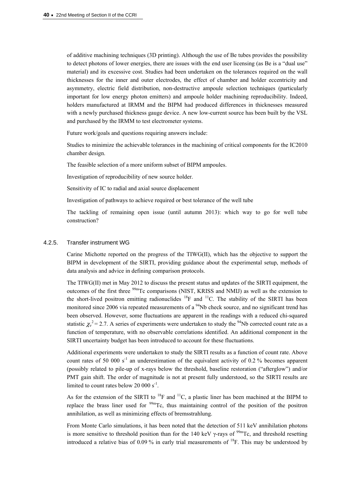of additive machining techniques (3D printing). Although the use of Be tubes provides the possibility to detect photons of lower energies, there are issues with the end user licensing (as Be is a "dual use" material) and its excessive cost. Studies had been undertaken on the tolerances required on the wall thicknesses for the inner and outer electrodes, the effect of chamber and holder eccentricity and asymmetry, electric field distribution, non-destructive ampoule selection techniques (particularly important for low energy photon emitters) and ampoule holder machining reproducibility. Indeed, holders manufactured at IRMM and the BIPM had produced differences in thicknesses measured with a newly purchased thickness gauge device. A new low-current source has been built by the VSL and purchased by the IRMM to test electrometer systems.

Future work/goals and questions requiring answers include:

Studies to minimize the achievable tolerances in the machining of critical components for the IC2010 chamber design.

The feasible selection of a more uniform subset of BIPM ampoules.

Investigation of reproducibility of new source holder.

Sensitivity of IC to radial and axial source displacement

Investigation of pathways to achieve required or best tolerance of the well tube

The tackling of remaining open issue (until autumn 2013): which way to go for well tube construction?

#### 4.2.5. Transfer instrument WG

Carine Michotte reported on the progress of the TIWG(II), which has the objective to support the BIPM in development of the SIRTI, providing guidance about the experimental setup, methods of data analysis and advice in defining comparison protocols.

The TIWG(II) met in May 2012 to discuss the present status and updates of the SIRTI equipment, the outcomes of the first three <sup>99m</sup>Tc comparisons (NIST, KRISS and NMIJ) as well as the extension to the short-lived positron emitting radionuclides  ${}^{18}F$  and  ${}^{11}C$ . The stability of the SIRTI has been monitored since 2006 via repeated measurements of a  $94$ Nb check source, and no significant trend has been observed. However, some fluctuations are apparent in the readings with a reduced chi-squared statistic  $\chi^{2} = 2.7$ . A series of experiments were undertaken to study the <sup>94</sup>Nb corrected count rate as a function of temperature, with no observable correlations identified. An additional component in the SIRTI uncertainty budget has been introduced to account for these fluctuations.

Additional experiments were undertaken to study the SIRTI results as a function of count rate. Above count rates of 50 000 s<sup>-1</sup> an underestimation of the equivalent activity of 0.2 % becomes apparent (possibly related to pile-up of x-rays below the threshold, baseline restoration ("afterglow") and/or PMT gain shift. The order of magnitude is not at present fully understood, so the SIRTI results are limited to count rates below 20 000  $s^{-1}$ .

As for the extension of the SIRTI to  $^{18}F$  and  $^{11}C$ , a plastic liner has been machined at the BIPM to replace the brass liner used for  $\frac{99m}{C}$ , thus maintaining control of the position of the positron annihilation, as well as minimizing effects of bremsstrahlung.

From Monte Carlo simulations, it has been noted that the detection of 511 keV annihilation photons is more sensitive to threshold position than for the 140 keV  $\gamma$ -rays of <sup>99m</sup>Tc, and threshold resetting introduced a relative bias of 0.09 % in early trial measurements of  $^{18}$ F. This may be understood by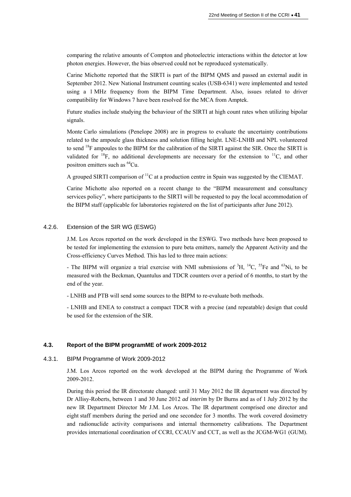comparing the relative amounts of Compton and photoelectric interactions within the detector at low photon energies. However, the bias observed could not be reproduced systematically.

Carine Michotte reported that the SIRTI is part of the BIPM QMS and passed an external audit in September 2012. New National Instrument counting scales (USB-6341) were implemented and tested using a 1 MHz frequency from the BIPM Time Department. Also, issues related to driver compatibility for Windows 7 have been resolved for the MCA from Amptek.

Future studies include studying the behaviour of the SIRTI at high count rates when utilizing bipolar signals.

Monte Carlo simulations (Penelope 2008) are in progress to evaluate the uncertainty contributions related to the ampoule glass thickness and solution filling height. LNE-LNHB and NPL volunteered to send <sup>18</sup>F ampoules to the BIPM for the calibration of the SIRTI against the SIR. Once the SIRTI is validated for <sup>18</sup>F, no additional developments are necessary for the extension to <sup>11</sup>C, and other positron emitters such as <sup>64</sup>Cu.

A grouped SIRTI comparison of  ${}^{11}C$  at a production centre in Spain was suggested by the CIEMAT.

Carine Michotte also reported on a recent change to the "BIPM measurement and consultancy services policy", where participants to the SIRTI will be requested to pay the local accommodation of the BIPM staff (applicable for laboratories registered on the list of participants after June 2012).

#### 4.2.6. Extension of the SIR WG (ESWG)

J.M. Los Arcos reported on the work developed in the ESWG. Two methods have been proposed to be tested for implementing the extension to pure beta emitters, namely the Apparent Activity and the Cross-efficiency Curves Method. This has led to three main actions:

- The BIPM will organize a trial exercise with NMI submissions of  ${}^{3}H, {}^{14}C, {}^{55}Fe$  and  ${}^{63}Ni$ , to be measured with the Beckman, Quantulus and TDCR counters over a period of 6 months, to start by the end of the year.

- LNHB and PTB will send some sources to the BIPM to re-evaluate both methods.

- LNHB and ENEA to construct a compact TDCR with a precise (and repeatable) design that could be used for the extension of the SIR.

### **4.3. Report of the BIPM programME of work 2009-2012**

#### 4.3.1. BIPM Programme of Work 2009-2012

J.M. Los Arcos reported on the work developed at the BIPM during the Programme of Work 2009-2012.

During this period the IR directorate changed: until 31 May 2012 the IR department was directed by Dr Allisy-Roberts, between 1 and 30 June 2012 *ad interim* by Dr Burns and as of 1 July 2012 by the new IR Department Director Mr J.M. Los Arcos. The IR department comprised one director and eight staff members during the period and one secondee for 3 months. The work covered dosimetry and radionuclide activity comparisons and internal thermometry calibrations. The Department provides international coordination of CCRI, CCAUV and CCT, as well as the JCGM-WG1 (GUM).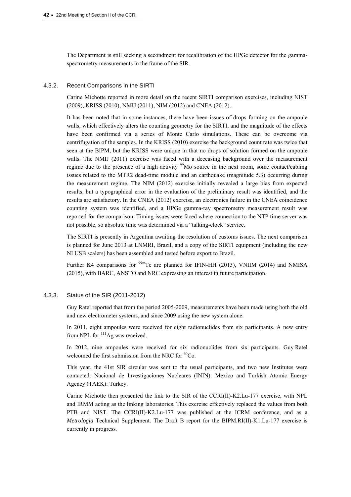The Department is still seeking a secondment for recalibration of the HPGe detector for the gammaspectrometry measurements in the frame of the SIR.

#### 4.3.2. Recent Comparisons in the SIRTI

Carine Michotte reported in more detail on the recent SIRTI comparison exercises, including NIST (2009), KRISS (2010), NMIJ (2011), NIM (2012) and CNEA (2012).

It has been noted that in some instances, there have been issues of drops forming on the ampoule walls, which effectively alters the counting geometry for the SIRTI, and the magnitude of the effects have been confirmed via a series of Monte Carlo simulations. These can be overcome via centrifugation of the samples. In the KRISS (2010) exercise the background count rate was twice that seen at the BIPM, but the KRISS were unique in that no drops of solution formed on the ampoule walls. The NMIJ (2011) exercise was faced with a deceasing background over the measurement regime due to the presence of a high activity  $\frac{99}{9}$ Mo source in the next room, some contact/cabling issues related to the MTR2 dead-time module and an earthquake (magnitude 5.3) occurring during the measurement regime. The NIM (2012) exercise initially revealed a large bias from expected results, but a typographical error in the evaluation of the preliminary result was identified, and the results are satisfactory. In the CNEA (2012) exercise, an electronics failure in the CNEA coincidence counting system was identified, and a HPGe gamma-ray spectrometry measurement result was reported for the comparison. Timing issues were faced where connection to the NTP time server was not possible, so absolute time was determined via a "talking-clock" service.

The SIRTI is presently in Argentina awaiting the resolution of customs issues. The next comparison is planned for June 2013 at LNMRI, Brazil, and a copy of the SIRTI equipment (including the new NI USB scalers) has been assembled and tested before export to Brazil.

Further K4 comparisons for  $99m$ Tc are planned for IFIN-HH (2013), VNIIM (2014) and NMISA (2015), with BARC, ANSTO and NRC expressing an interest in future participation.

#### 4.3.3. Status of the SIR (2011-2012)

Guy Ratel reported that from the period 2005-2009, measurements have been made using both the old and new electrometer systems, and since 2009 using the new system alone.

In 2011, eight ampoules were received for eight radionuclides from six participants. A new entry from NPL for <sup>111</sup>Ag was received.

In 2012, nine ampoules were received for six radionuclides from six participants. Guy Ratel welcomed the first submission from the NRC for  ${}^{60}Co$ .

This year, the 41st SIR circular was sent to the usual participants, and two new Institutes were contacted: Nacional de Investigaciones Nucleares (ININ): Mexico and Turkish Atomic Energy Agency (TAEK): Turkey.

Carine Michotte then presented the link to the SIR of the CCRI(II)-K2.Lu-177 exercise, with NPL and IRMM acting as the linking laboratories. This exercise effectively replaced the values from both PTB and NIST. The CCRI(II)-K2.Lu-177 was published at the ICRM conference, and as a *Metrologia* Technical Supplement. The Draft B report for the BIPM.RI(II)-K1.Lu-177 exercise is currently in progress.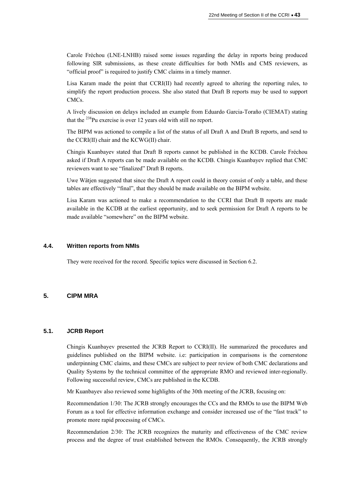Carole Fréchou (LNE-LNHB) raised some issues regarding the delay in reports being produced following SIR submissions, as these create difficulties for both NMIs and CMS reviewers, as "official proof" is required to justify CMC claims in a timely manner.

Lisa Karam made the point that CCRI(II) had recently agreed to altering the reporting rules, to simplify the report production process. She also stated that Draft B reports may be used to support CMCs.

A lively discussion on delays included an example from Eduardo Garcia-Toraño (CIEMAT) stating that the  $^{238}$ Pu exercise is over 12 years old with still no report.

The BIPM was actioned to compile a list of the status of all Draft A and Draft B reports, and send to the CCRI(II) chair and the KCWG(II) chair.

Chingis Kuanbayev stated that Draft B reports cannot be published in the KCDB. Carole Fréchou asked if Draft A reports can be made available on the KCDB. Chingis Kuanbayev replied that CMC reviewers want to see "finalized" Draft B reports.

Uwe Wätjen suggested that since the Draft A report could in theory consist of only a table, and these tables are effectively "final", that they should be made available on the BIPM website.

Lisa Karam was actioned to make a recommendation to the CCRI that Draft B reports are made available in the KCDB at the earliest opportunity, and to seek permission for Draft A reports to be made available "somewhere" on the BIPM website.

### **4.4. Written reports from NMIs**

They were received for the record. Specific topics were discussed in Section 6.2.

## **5. CIPM MRA**

### **5.1. JCRB Report**

Chingis Kuanbayev presented the JCRB Report to CCRI(II). He summarized the procedures and guidelines published on the BIPM website. i.e: participation in comparisons is the cornerstone underpinning CMC claims, and these CMCs are subject to peer review of both CMC declarations and Quality Systems by the technical committee of the appropriate RMO and reviewed inter-regionally. Following successful review, CMCs are published in the KCDB.

Mr Kuanbayev also reviewed some highlights of the 30th meeting of the JCRB, focusing on:

Recommendation 1/30: The JCRB strongly encourages the CCs and the RMOs to use the BIPM Web Forum as a tool for effective information exchange and consider increased use of the "fast track" to promote more rapid processing of CMCs.

Recommendation 2/30: The JCRB recognizes the maturity and effectiveness of the CMC review process and the degree of trust established between the RMOs. Consequently, the JCRB strongly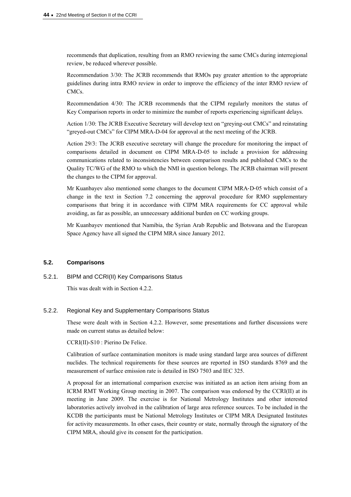recommends that duplication, resulting from an RMO reviewing the same CMCs during interregional review, be reduced wherever possible.

Recommendation 3/30: The JCRB recommends that RMOs pay greater attention to the appropriate guidelines during intra RMO review in order to improve the efficiency of the inter RMO review of CMCs.

Recommendation 4/30: The JCRB recommends that the CIPM regularly monitors the status of Key Comparison reports in order to minimize the number of reports experiencing significant delays.

Action 1/30: The JCRB Executive Secretary will develop text on "greying-out CMCs" and reinstating "greyed-out CMCs" for CIPM MRA-D-04 for approval at the next meeting of the JCRB.

Action 29/3: The JCRB executive secretary will change the procedure for monitoring the impact of comparisons detailed in document on CIPM MRA-D-05 to include a provision for addressing communications related to inconsistencies between comparison results and published CMCs to the Quality TC/WG of the RMO to which the NMI in question belongs. The JCRB chairman will present the changes to the CIPM for approval.

Mr Kuanbayev also mentioned some changes to the document CIPM MRA‐D‐05 which consist of a change in the text in Section 7.2 concerning the approval procedure for RMO supplementary comparisons that bring it in accordance with CIPM MRA requirements for CC approval while avoiding, as far as possible, an unnecessary additional burden on CC working groups.

Mr Kuanbayev mentioned that Namibia, the Syrian Arab Republic and Botswana and the European Space Agency have all signed the CIPM MRA since January 2012.

# **5.2. Comparisons**

### 5.2.1. BIPM and CCRI(II) Key Comparisons Status

This was dealt with in Section 4.2.2.

#### 5.2.2. Regional Key and Supplementary Comparisons Status

These were dealt with in Section 4.2.2. However, some presentations and further discussions were made on current status as detailed below:

CCRI(II)-S10 : Pierino De Felice.

Calibration of surface contamination monitors is made using standard large area sources of different nuclides. The technical requirements for these sources are reported in ISO standards 8769 and the measurement of surface emission rate is detailed in ISO 7503 and IEC 325.

A proposal for an international comparison exercise was initiated as an action item arising from an ICRM RMT Working Group meeting in 2007. The comparison was endorsed by the CCRI(II) at its meeting in June 2009. The exercise is for National Metrology Institutes and other interested laboratories actively involved in the calibration of large area reference sources. To be included in the KCDB the participants must be National Metrology Institutes or CIPM MRA Designated Institutes for activity measurements. In other cases, their country or state, normally through the signatory of the CIPM MRA, should give its consent for the participation.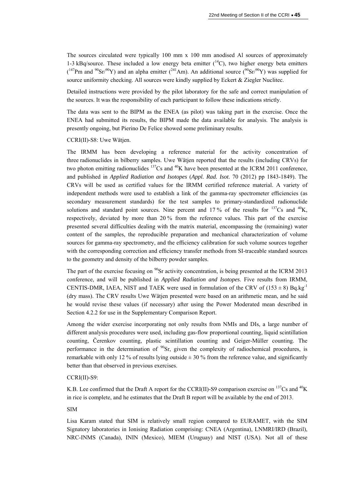The sources circulated were typically 100 mm x 100 mm anodised Al sources of approximately 1-3 kBq/source. These included a low energy beta emitter  $(^{14}C)$ , two higher energy beta emitters  $(147$ Pm and  $90$ Sr $/90$ Y) and an alpha emitter ( $241$ Am). An additional source ( $90$ Sr $/90$ Y) was supplied for source uniformity checking. All sources were kindly supplied by Eckert & Ziegler Nuclitec.

Detailed instructions were provided by the pilot laboratory for the safe and correct manipulation of the sources. It was the responsibility of each participant to follow these indications strictly.

The data was sent to the BIPM as the ENEA (as pilot) was taking part in the exercise. Once the ENEA had submitted its results, the BIPM made the data available for analysis. The analysis is presently ongoing, but Pierino De Felice showed some preliminary results.

CCRI(II)-S8: Uwe Wätjen.

The IRMM has been developing a reference material for the activity concentration of three radionuclides in bilberry samples. Uwe Wätjen reported that the results (including CRVs) for two photon emitting radionuclides  $^{137}Cs$  and  $^{40}K$  have been presented at the ICRM 2011 conference, and published in *Applied Radiation and Isotopes* (*Appl. Rad. Isot*. 70 (2012) pp 1843-1849). The CRVs will be used as certified values for the IRMM certified reference material. A variety of independent methods were used to establish a link of the gamma-ray spectrometer efficiencies (as secondary measurement standards) for the test samples to primary-standardized radionuclide solutions and standard point sources. Nine percent and 17% of the results for  $^{137}Cs$  and  $^{40}K$ , respectively, deviated by more than 20 % from the reference values. This part of the exercise presented several difficulties dealing with the matrix material, encompassing the (remaining) water content of the samples, the reproducible preparation and mechanical characterization of volume sources for gamma-ray spectrometry, and the efficiency calibration for such volume sources together with the corresponding correction and efficiency transfer methods from SI-traceable standard sources to the geometry and density of the bilberry powder samples.

The part of the exercise focusing on <sup>90</sup>Sr activity concentration, is being presented at the ICRM 2013 conference, and will be published in *Applied Radiation and Isotopes*. Five results from IRMM, CENTIS-DMR, IAEA, NIST and TAEK were used in formulation of the CRV of  $(153 \pm 8)$  Bq.kg<sup>-1</sup> (dry mass). The CRV results Uwe Wätjen presented were based on an arithmetic mean, and he said he would revise these values (if necessary) after using the Power Moderated mean described in Section 4.2.2 for use in the Supplementary Comparison Report.

Among the wider exercise incorporating not only results from NMIs and DIs, a large number of different analysis procedures were used, including gas-flow proportional counting, liquid scintillation counting, Čerenkov counting, plastic scintillation counting and Geiger-Müller counting. The performance in the determination of  $^{90}$ Sr, given the complexity of radiochemical procedures, is remarkable with only 12 % of results lying outside  $\pm$  30 % from the reference value, and significantly better than that observed in previous exercises.

### CCRI(II)-S9:

K.B. Lee confirmed that the Draft A report for the CCRI(II)-S9 comparison exercise on <sup>137</sup>Cs and <sup>40</sup>K in rice is complete, and he estimates that the Draft B report will be available by the end of 2013.

### SIM

Lisa Karam stated that SIM is relatively small region compared to EURAMET, with the SIM Signatory laboratories in Ionising Radiation comprising: CNEA (Argentina), LNMRI/IRD (Brazil), NRC-INMS (Canada), ININ (Mexico), MIEM (Uruguay) and NIST (USA). Not all of these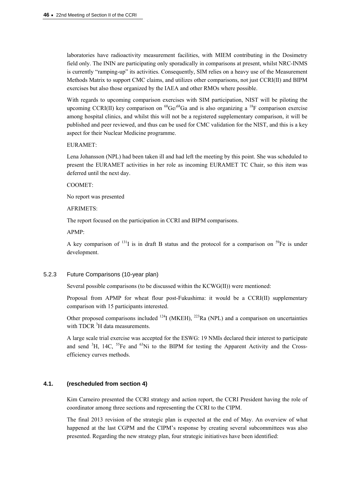laboratories have radioactivity measurement facilities, with MIEM contributing in the Dosimetry field only. The ININ are participating only sporadically in comparisons at present, whilst NRC-INMS is currently "ramping-up" its activities. Consequently, SIM relies on a heavy use of the Measurement Methods Matrix to support CMC claims, and utilizes other comparisons, not just CCRI(II) and BIPM exercises but also those organized by the IAEA and other RMOs where possible.

With regards to upcoming comparison exercises with SIM participation, NIST will be piloting the upcoming CCRI(II) key comparison on  ${}^{68}Ge/{}^{68}Ga$  and is also organizing a  ${}^{18}F$  comparison exercise among hospital clinics, and whilst this will not be a registered supplementary comparison, it will be published and peer reviewed, and thus can be used for CMC validation for the NIST, and this is a key aspect for their Nuclear Medicine programme.

#### EURAMET:

Lena Johansson (NPL) had been taken ill and had left the meeting by this point. She was scheduled to present the EURAMET activities in her role as incoming EURAMET TC Chair, so this item was deferred until the next day.

#### COOMET:

No report was presented

#### AFRIMETS:

The report focused on the participation in CCRI and BIPM comparisons.

#### APMP:

A key comparison of <sup>131</sup>I is in draft B status and the protocol for a comparison on <sup>59</sup>Fe is under development.

### 5.2.3 Future Comparisons (10-year plan)

Several possible comparisons (to be discussed within the KCWG(II)) were mentioned:

Proposal from APMP for wheat flour post-Fukushima: it would be a CCRI(II) supplementary comparison with 15 participants interested.

Other proposed comparisons included  $^{124}$ I (MKEH),  $^{223}$ Ra (NPL) and a comparison on uncertainties with TDCR<sup>3</sup>H data measurements.

A large scale trial exercise was accepted for the ESWG: 19 NMIs declared their interest to participate and send  ${}^{3}H$ , 14C,  ${}^{55}Fe$  and  ${}^{63}Ni$  to the BIPM for testing the Apparent Activity and the Crossefficiency curves methods.

# **4.1. (rescheduled from section 4)**

Kim Carneiro presented the CCRI strategy and action report, the CCRI President having the role of coordinator among three sections and representing the CCRI to the CIPM.

The final 2013 revision of the strategic plan is expected at the end of May. An overview of what happened at the last CGPM and the CIPM's response by creating several subcommittees was also presented. Regarding the new strategy plan, four strategic initiatives have been identified: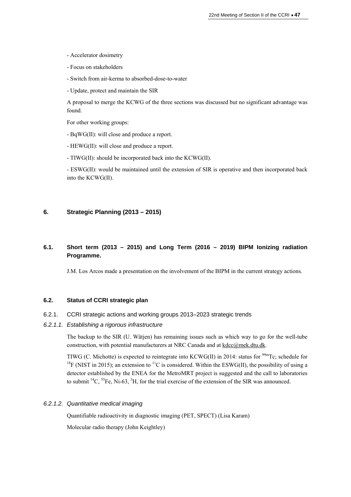- Accelerator dosimetry
- Focus on stakeholders
- Switch from air-kerma to absorbed-dose-to-water
- Update, protect and maintain the SIR

A proposal to merge the KCWG of the three sections was discussed but no significant advantage was found.

For other working groups:

- BqWG(II): will close and produce a report.
- HEWG(II): will close and produce a report.
- TIWG(II): should be incorporated back into the KCWG(II).

- ESWG(II): would be maintained until the extension of SIR is operative and then incorporated back into the KCWG(II).

### **6. Strategic Planning (2013 – 2015)**

# **6.1. Short term (2013 – 2015) and Long Term (2016 – 2019) BIPM Ionizing radiation Programme.**

J.M. Los Arcos made a presentation on the involvement of the BIPM in the current strategy actions.

### **6.2. Status of CCRI strategic plan**

#### 6.2.1. CCRI strategic actions and working groups 2013–2023 strategic trends

*6.2.1.1. Establishing a rigorous infrastructure* 

The backup to the SIR (U. Wätjen) has remaining issues such as which way to go for the well-tube construction, with potential manufacturers at NRC Canada and at kdcc@mek.dtu.dk.

TIWG (C. Michotte) is expected to reintegrate into KCWG(II) in 2014: status for <sup>99m</sup>Tc; schedule for <sup>18</sup>F (NIST in 2015); an extension to <sup>11</sup>C is considered. Within the ESWG(II), the possibility of using a detector established by the ENEA for the MetroMRT project is suggested and the call to laboratories to submit <sup>14</sup>C, <sup>55</sup>Fe, Ni-63, <sup>3</sup>H, for the trial exercise of the extension of the SIR was announced.

### *6.2.1.2. Quantitative medical imaging*

Quantifiable radioactivity in diagnostic imaging (PET, SPECT) (Lisa Karam)

Molecular radio therapy (John Keightley)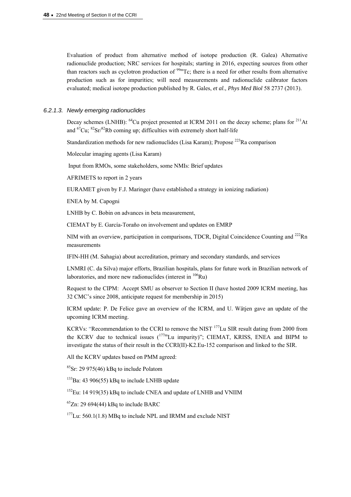Evaluation of product from alternative method of isotope production (R. Galea) Alternative radionuclide production; NRC services for hospitals; starting in 2016, expecting sources from other than reactors such as cyclotron production of  $\frac{99m}{C}$ ; there is a need for other results from alternative production such as for impurities; will need measurements and radionuclide calibrator factors evaluated; medical isotope production published by R. Gales, *et al*., *Phys Med Biol* 58 2737 (2013).

#### *6.2.1.3. Newly emerging radionuclides*

Decay schemes (LNHB):  $^{64}$ Cu project presented at ICRM 2011 on the decay scheme; plans for  $^{211}$ At and  ${}^{67}Cu$ ;  ${}^{82}Sr$ / ${}^{82}Rb$  coming up; difficulties with extremely short half-life

Standardization methods for new radionuclides (Lisa Karam); Propose  $^{223}$ Ra comparison

Molecular imaging agents (Lisa Karam)

Input from RMOs, some stakeholders, some NMIs: Brief updates

AFRIMETS to report in 2 years

EURAMET given by F.J. Maringer (have established a strategy in ionizing radiation)

ENEA by M. Capogni

LNHB by C. Bobin on advances in beta measurement,

CIEMAT by E. García-Toraño on involvement and updates on EMRP

NIM with an overview, participation in comparisons, TDCR, Digital Coincidence Counting and <sup>222</sup>Rn measurements

IFIN-HH (M. Sahagia) about accreditation, primary and secondary standards, and services

LNMRI (C. da Silva) major efforts, Brazilian hospitals, plans for future work in Brazilian network of laboratories, and more new radionuclides (interest in  $106$ Ru)

Request to the CIPM: Accept SMU as observer to Section II (have hosted 2009 ICRM meeting, has 32 CMC's since 2008, anticipate request for membership in 2015)

ICRM update: P. De Felice gave an overview of the ICRM, and U. Wätjen gave an update of the upcoming ICRM meeting.

KCRVs: "Recommendation to the CCRI to remove the NIST <sup>177</sup>Lu SIR result dating from 2000 from the KCRV due to technical issues  $(177m)$ Lu impurity)"; CIEMAT, KRISS, ENEA and BIPM to investigate the status of their result in the CCRI(II)-K2.Eu-152 comparison and linked to the SIR.

All the KCRV updates based on PMM agreed:

 ${}^{85}Sr$ : 29 975(46) kBq to include Polatom

 $133$ Ba: 43 906(55) kBq to include LNHB update

 $152$ Eu: 14 919(35) kBq to include CNEA and update of LNHB and VNIIM

 $^{65}Zn$ : 29 694(44) kBq to include BARC

 $177$ Lu: 560.1(1.8) MBq to include NPL and IRMM and exclude NIST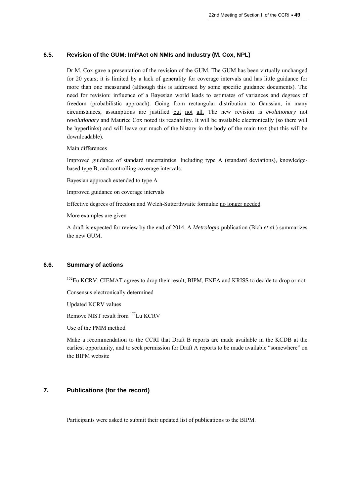### **6.5. Revision of the GUM: ImPAct oN NMIs and Industry (M. Cox, NPL)**

Dr M. Cox gave a presentation of the revision of the GUM. The GUM has been virtually unchanged for 20 years; it is limited by a lack of generality for coverage intervals and has little guidance for more than one measurand (although this is addressed by some specific guidance documents). The need for revision: influence of a Bayesian world leads to estimates of variances and degrees of freedom (probabilistic approach). Going from rectangular distribution to Gaussian, in many circumstances, assumptions are justified but not all. The new revision is *evolutionary* not *revolutionary* and Maurice Cox noted its readability. It will be available electronically (so there will be hyperlinks) and will leave out much of the history in the body of the main text (but this will be downloadable).

Main differences

Improved guidance of standard uncertainties. Including type A (standard deviations), knowledgebased type B, and controlling coverage intervals.

Bayesian approach extended to type A

Improved guidance on coverage intervals

Effective degrees of freedom and Welch-Sutterthwaite formulae no longer needed

More examples are given

A draft is expected for review by the end of 2014. A *Metrologia* publication (Bich *et al*.) summarizes the new GUM.

### **6.6. Summary of actions**

<sup>152</sup>Eu KCRV: CIEMAT agrees to drop their result; BIPM, ENEA and KRISS to decide to drop or not

Consensus electronically determined

Updated KCRV values

Remove NIST result from 177Lu KCRV

Use of the PMM method

Make a recommendation to the CCRI that Draft B reports are made available in the KCDB at the earliest opportunity, and to seek permission for Draft A reports to be made available "somewhere" on the BIPM website

# **7. Publications (for the record)**

Participants were asked to submit their updated list of publications to the BIPM.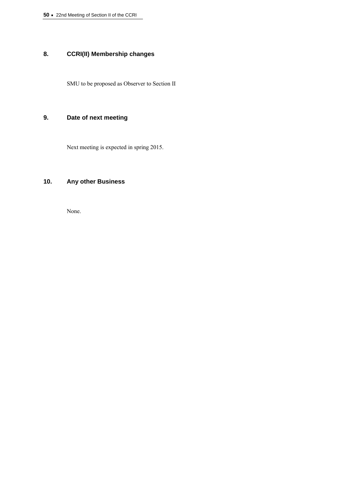**50 ·** 22nd Meeting of Section II of the CCRI

# **8. CCRI(II) Membership changes**

SMU to be proposed as Observer to Section II

# **9. Date of next meeting**

Next meeting is expected in spring 2015.

# **10. Any other Business**

None.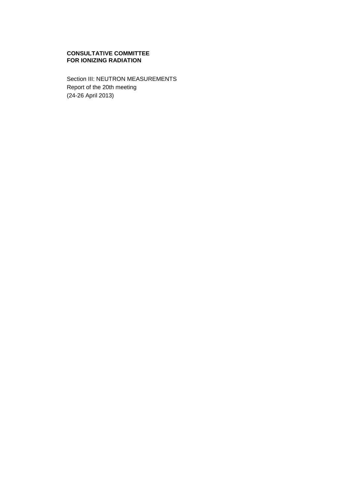### **CONSULTATIVE COMMITTEE FOR IONIZING RADIATION**

Section III: NEUTRON MEASUREMENTS Report of the 20th meeting (24-26 April 2013)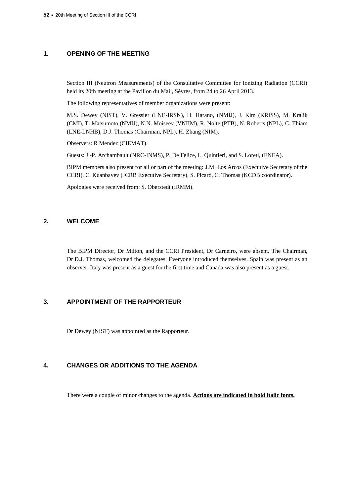## **1. OPENING OF THE MEETING**

Section III (Neutron Measurements) of the Consultative Committee for Ionizing Radiation (CCRI) held its 20th meeting at the Pavillon du Mail, Sèvres, from 24 to 26 April 2013.

The following representatives of member organizations were present:

M.S. Dewey (NIST), V. Gressier (LNE-IRSN), H. Harano, (NMIJ), J. Kim (KRISS), M. Kralik (CMI), T. Matsumoto (NMIJ), N.N. Moiseev (VNIIM), R. Nolte (PTB), N. Roberts (NPL), C. Thiam (LNE-LNHB), D.J. Thomas (Chairman, NPL), H. Zhang (NIM).

Observers: R Mendez (CIEMAT).

Guests: J.-P. Archambault (NRC-INMS), P. De Felice, L. Quintieri, and S. Loreti, (ENEA).

BIPM members also present for all or part of the meeting: J.M. Los Arcos (Executive Secretary of the CCRI), C. Kuanbayev (JCRB Executive Secretary), S. Picard, C. Thomas (KCDB coordinator).

Apologies were received from: S. Oberstedt (IRMM).

# **2. WELCOME**

The BIPM Director, Dr Milton, and the CCRI President, Dr Carneiro, were absent. The Chairman, Dr D.J. Thomas, welcomed the delegates. Everyone introduced themselves. Spain was present as an observer. Italy was present as a guest for the first time and Canada was also present as a guest.

# **3. APPOINTMENT OF THE RAPPORTEUR**

Dr Dewey (NIST) was appointed as the Rapporteur.

# **4. CHANGES OR ADDITIONS TO THE AGENDA**

There were a couple of minor changes to the agenda. **Actions are indicated in bold italic fonts.**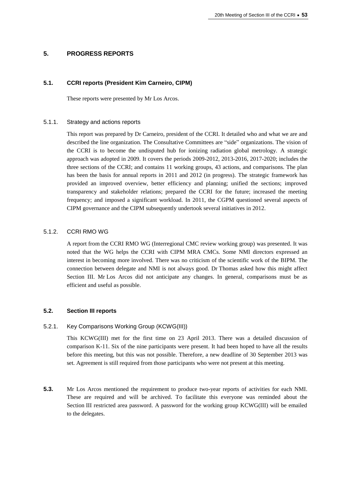### **5. PROGRESS REPORTS**

### **5.1. CCRI reports (President Kim Carneiro, CIPM)**

These reports were presented by Mr Los Arcos.

### 5.1.1. Strategy and actions reports

This report was prepared by Dr Carneiro, president of the CCRI. It detailed who and what we are and described the line organization. The Consultative Committees are "side" organizations. The vision of the CCRI is to become the undisputed hub for ionizing radiation global metrology. A strategic approach was adopted in 2009. It covers the periods 2009-2012, 2013-2016, 2017-2020; includes the three sections of the CCRI; and contains 11 working groups, 43 actions, and comparisons. The plan has been the basis for annual reports in 2011 and 2012 (in progress). The strategic framework has provided an improved overview, better efficiency and planning; unified the sections; improved transparency and stakeholder relations; prepared the CCRI for the future; increased the meeting frequency; and imposed a significant workload. In 2011, the CGPM questioned several aspects of CIPM governance and the CIPM subsequently undertook several initiatives in 2012.

### 5.1.2. CCRI RMO WG

A report from the CCRI RMO WG (Interregional CMC review working group) was presented. It was noted that the WG helps the CCRI with CIPM MRA CMCs. Some NMI directors expressed an interest in becoming more involved. There was no criticism of the scientific work of the BIPM. The connection between delegate and NMI is not always good. Dr Thomas asked how this might affect Section III. Mr Los Arcos did not anticipate any changes. In general, comparisons must be as efficient and useful as possible.

## **5.2. Section III reports**

### 5.2.1. Key Comparisons Working Group (KCWG(III))

This KCWG(III) met for the first time on 23 April 2013. There was a detailed discussion of comparison K-11. Six of the nine participants were present. It had been hoped to have all the results before this meeting, but this was not possible. Therefore, a new deadline of 30 September 2013 was set. Agreement is still required from those participants who were not present at this meeting.

**5.3.** Mr Los Arcos mentioned the requirement to produce two-year reports of activities for each NMI. These are required and will be archived. To facilitate this everyone was reminded about the Section III restricted area password. A password for the working group KCWG(III) will be emailed to the delegates.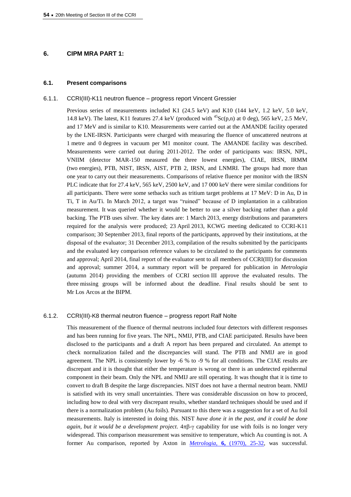### **6. CIPM MRA PART 1:**

#### **6.1. Present comparisons**

#### 6.1.1. CCRI(III)-K11 neutron fluence – progress report Vincent Gressier

Previous series of measurements included K1 (24.5 keV) and K10 (144 keV, 1.2 keV, 5.0 keV, 14.8 keV). The latest, K11 features 27.4 keV (produced with  ${}^{45}Sc(p,n)$  at 0 deg), 565 keV, 2.5 MeV, and 17 MeV and is similar to K10. Measurements were carried out at the AMANDE facility operated by the LNE-IRSN. Participants were charged with measuring the fluence of unscattered neutrons at 1 metre and 0 degrees in vacuum per M1 monitor count. The AMANDE facility was described. Measurements were carried out during 2011-2012. The order of participants was: IRSN, NPL, VNIIM (detector MAR-150 measured the three lowest energies), CIAE, IRSN, IRMM (two energies), PTB, NIST, IRSN, AIST, PTB 2, IRSN, and LNMRI. The groups had more than one year to carry out their measurements. Comparisons of relative fluence per monitor with the IRSN PLC indicate that for 27.4 keV, 565 keV, 2500 keV, and 17 000 keV there were similar conditions for all participants. There were some setbacks such as tritium target problems at 17 MeV: D in Au, D in Ti, T in Au/Ti. In March 2012, a target was "ruined" because of D implantation in a calibration measurement. It was queried whether it would be better to use a silver backing rather than a gold backing. The PTB uses silver. The key dates are: 1 March 2013, energy distributions and parameters required for the analysis were produced; 23 April 2013, KCWG meeting dedicated to CCRI-K11 comparison; 30 September 2013, final reports of the participants, approved by their institutions, at the disposal of the evaluator; 31 December 2013, compilation of the results submitted by the participants and the evaluated key comparison reference values to be circulated to the participants for comments and approval; April 2014, final report of the evaluator sent to all members of CCRI(III) for discussion and approval; summer 2014, a summary report will be prepared for publication in *Metrologia* (autumn 2014) providing the members of CCRI section III approve the evaluated results. The three missing groups will be informed about the deadline. Final results should be sent to Mr Los Arcos at the BIPM.

#### 6.1.2. CCRI(III)-K8 thermal neutron fluence – progress report Ralf Nolte

This measurement of the fluence of thermal neutrons included four detectors with different responses and has been running for five years. The NPL, NMIJ, PTB, and CIAE participated. Results have been disclosed to the participants and a draft A report has been prepared and circulated. An attempt to check normalization failed and the discrepancies will stand. The PTB and NMIJ are in good agreement. The NPL is consistently lower by -6 % to -9 % for all conditions. The CIAE results are discrepant and it is thought that either the temperature is wrong or there is an undetected epithermal component in their beam. Only the NPL and NMIJ are still operating. It was thought that it is time to convert to draft B despite the large discrepancies. NIST does not have a thermal neutron beam. NMIJ is satisfied with its very small uncertainties. There was considerable discussion on how to proceed, including how to deal with very discrepant results, whether standard techniques should be used and if there is a normalization problem (Au foils). Pursuant to this there was a suggestion for a set of Au foil measurements. Italy is interested in doing this. NIST *have done it in the past, and it could be done again, but it would be a development project.*  $4\pi\beta\gamma$  capability for use with foils is no longer very widespread. This comparison measurement was sensitive to temperature, which Au counting is not. A former Au comparison, reported by Axton in *[Metrologia,](http://stacks.iop.org/0026-1394/6/25)* **6,** (1970), 25-32, was successful.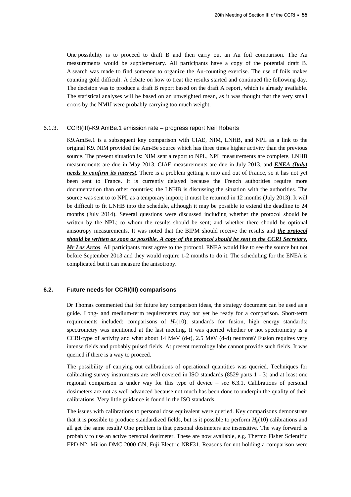One possibility is to proceed to draft B and then carry out an Au foil comparison. The Au measurements would be supplementary. All participants have a copy of the potential draft B. A search was made to find someone to organize the Au-counting exercise. The use of foils makes counting gold difficult. A debate on how to treat the results started and continued the following day. The decision was to produce a draft B report based on the draft A report, which is already available. The statistical analyses will be based on an unweighted mean, as it was thought that the very small errors by the NMIJ were probably carrying too much weight.

#### 6.1.3. CCRI(III)-K9.AmBe.1 emission rate – progress report Neil Roberts

K9.AmBe.1 is a subsequent key comparison with CIAE, NIM, LNHB, and NPL as a link to the original K9. NIM provided the Am-Be source which has three times higher activity than the previous source. The present situation is: NIM sent a report to NPL, NPL measurements are complete, LNHB measurements are due in May 2013, CIAE measurements are due in July 2013, and *ENEA (Italy) needs to confirm its interest*. There is a problem getting it into and out of France, so it has not yet been sent to France. It is currently delayed because the French authorities require more documentation than other countries; the LNHB is discussing the situation with the authorities. The source was sent to to NPL as a temporary import; it must be returned in 12 months (July 2013). It will be difficult to fit LNHB into the schedule, although it may be possible to extend the deadline to 24 months (July 2014). Several questions were discussed including whether the protocol should be written by the NPL; to whom the results should be sent; and whether there should be optional anisotropy measurements. It was noted that the BIPM should receive the results and *the protocol should be written as soon as possible. A copy of the protocol should be sent to the CCRI Secretary, Mr Los Arcos*. All participants must agree to the protocol. ENEA would like to see the source but not before September 2013 and they would require 1-2 months to do it. The scheduling for the ENEA is complicated but it can measure the anisotropy.

### **6.2. Future needs for CCRI(III) comparisons**

Dr Thomas commented that for future key comparison ideas, the strategy document can be used as a guide. Long- and medium-term requirements may not yet be ready for a comparison. Short-term requirements included: comparisons of  $H<sub>n</sub>(10)$ , standards for fusion, high energy standards; spectrometry was mentioned at the last meeting. It was queried whether or not spectrometry is a CCRI-type of activity and what about 14 MeV (d-t), 2.5 MeV (d-d) neutrons? Fusion requires very intense fields and probably pulsed fields. At present metrology labs cannot provide such fields. It was queried if there is a way to proceed.

The possibility of carrying out calibrations of operational quantities was queried. Techniques for calibrating survey instruments are well covered in ISO standards (8529 parts 1 - 3) and at least one regional comparison is under way for this type of device – see 6.3.1. Calibrations of personal dosimeters are not as well advanced because not much has been done to underpin the quality of their calibrations. Very little guidance is found in the ISO standards.

The issues with calibrations to personal dose equivalent were queried. Key comparisons demonstrate that it is possible to produce standardized fields, but is it possible to perform  $H<sub>p</sub>(10)$  calibrations and all get the same result? One problem is that personal dosimeters are insensitive. The way forward is probably to use an active personal dosimeter. These are now available, e.g. Thermo Fisher Scientific EPD-N2, Mirion DMC 2000 GN, Fuji Electric NRF31. Reasons for not holding a comparison were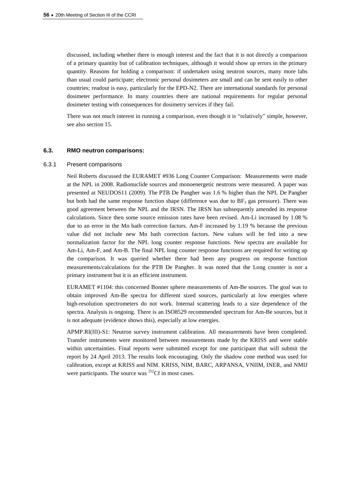discussed, including whether there is enough interest and the fact that it is not directly a comparison of a primary quantity but of calibration techniques, although it would show up errors in the primary quantity. Reasons for holding a comparison: if undertaken using neutron sources, many more labs than usual could participate; electronic personal dosimeters are small and can be sent easily to other countries; readout is easy, particularly for the EPD-N2. There are international standards for personal dosimeter performance. In many countries there are national requirements for regular personal dosimeter testing with consequences for dosimetry services if they fail.

There was not much interest in running a comparison, even though it is "relatively" simple, however, see also section 15.

#### **6.3. RMO neutron comparisons:**

#### 6.3.1 Present comparisons

Neil Roberts discussed the EURAMET #936 Long Counter Comparison: Measurements were made at the NPL in 2008. Radionuclide sources and monoenergetic neutrons were measured. A paper was presented at NEUDOS11 (2009). The PTB De Pangher was 1.6 % higher than the NPL De Pangher but both had the same response function shape (difference was due to  $BF_3$  gas pressure). There was good agreement between the NPL and the IRSN. The IRSN has subsequently amended its response calculations. Since then some source emission rates have been revised. Am-Li increased by 1.08 % due to an error in the Mn bath correction factors. Am-F increased by 1.19 % because the previous value did not include new Mn bath correction factors. New values will be fed into a new normalization factor for the NPL long counter response functions. New spectra are available for Am-Li, Am-F, and Am-B. The final NPL long counter response functions are required for writing up the comparison. It was queried whether there had been any progress on response function measurements/calculations for the PTB De Pangher. It was noted that the Long counter is not a primary instrument but it is an efficient instrument.

EURAMET #1104: this concerned Bonner sphere measurements of Am-Be sources. The goal was to obtain improved Am-Be spectra for different sized sources, particularly at low energies where high-resolution spectrometers do not work. Internal scattering leads to a size dependence of the spectra. Analysis is ongoing. There is an ISO8529 recommended spectrum for Am-Be sources, but it is not adequate (evidence shows this), especially at low energies.

APMP.RI(III)-S1: Neutron survey instrument calibration. All measurements have been completed. Transfer instruments were monitored between measurements made by the KRISS and were stable within uncertainties. Final reports were submitted except for one participant that will submit the report by 24 April 2013. The results look encouraging. Only the shadow cone method was used for calibration, except at KRISS and NIM. KRISS, NIM, BARC, ARPANSA, VNIIM, INER, and NMIJ were participants. The source was  $^{252}$ Cf in most cases.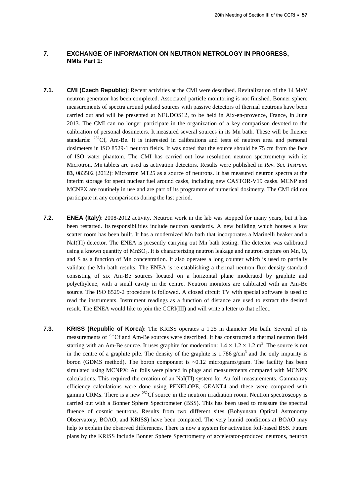## **7. EXCHANGE OF INFORMATION ON NEUTRON METROLOGY IN PROGRESS, NMIs Part 1:**

- **7.1. CMI (Czech Republic)**: Recent activities at the CMI were described. Revitalization of the 14 MeV neutron generator has been completed. Associated particle monitoring is not finished. Bonner sphere measurements of spectra around pulsed sources with passive detectors of thermal neutrons have been carried out and will be presented at NEUDOS12, to be held in Aix-en-provence, France, in June 2013. The CMI can no longer participate in the organization of a key comparison devoted to the calibration of personal dosimeters. It measured several sources in its Mn bath. These will be fluence standards:  $252 \text{Cf}$ , Am-Be. It is interested in calibrations and tests of neutron area and personal dosimeters in ISO 8529-1 neutron fields. It was noted that the source should be 75 cm from the face of ISO water phantom. The CMI has carried out low resolution neutron spectrometry with its Microtron. Mn tablets are used as activation detectors. Results were published in *Rev. Sci. Instrum*. **83**, 083502 (2012): Microtron MT25 as a source of neutrons. It has measured neutron spectra at the interim storage for spent nuclear fuel around casks, including new CASTOR-V19 casks. MCNP and MCNPX are routinely in use and are part of its programme of numerical dosimetry. The CMI did not participate in any comparisons during the last period.
- **7.2. ENEA (Italy)**: 2008-2012 activity. Neutron work in the lab was stopped for many years, but it has been restarted. Its responsibilities include neutron standards. A new building which houses a low scatter room has been built. It has a modernized Mn bath that incorporates a Marinelli beaker and a NaI(Tl) detector. The ENEA is presently carrying out Mn bath testing. The detector was calibrated using a known quantity of MnSO<sub>4</sub>. It is characterizing neutron leakage and neutron capture on Mn, O, and S as a function of Mn concentration. It also operates a long counter which is used to partially validate the Mn bath results. The ENEA is re-establishing a thermal neutron flux density standard consisting of six Am-Be sources located on a horizontal plane moderated by graphite and polyethylene, with a small cavity in the centre. Neutron monitors are calibrated with an Am-Be source. The ISO 8529-2 procedure is followed. A closed circuit TV with special software is used to read the instruments. Instrument readings as a function of distance are used to extract the desired result. The ENEA would like to join the CCRI(III) and will write a letter to that effect.
- **7.3. KRISS (Republic of Korea)**: The KRISS operates a 1.25 m diameter Mn bath. Several of its measurements of <sup>252</sup>Cf and Am-Be sources were described. It has constructed a thermal neutron field starting with an Am-Be source. It uses graphite for moderation:  $1.4 \times 1.2 \times 1.2$  m<sup>3</sup>. The source is not in the centre of a graphite pile. The density of the graphite is  $1.786$  g/cm<sup>3</sup> and the only impurity is boron (GDMS method). The boron component is  $\sim 0.12$  micrograms/gram. The facility has been simulated using MCNPX: Au foils were placed in plugs and measurements compared with MCNPX calculations. This required the creation of an NaI(Tl) system for Au foil measurements. Gamma-ray efficiency calculations were done using PENELOPE, GEANT4 and these were compared with gamma CRMs. There is a new  $^{252}$ Cf source in the neutron irradiation room. Neutron spectroscopy is carried out with a Bonner Sphere Spectrometer (BSS). This has been used to measure the spectral fluence of cosmic neutrons. Results from two different sites (Bohyunsan Optical Astronomy Observatory, BOAO, and KRISS) have been compared. The very humid conditions at BOAO may help to explain the observed differences. There is now a system for activation foil-based BSS. Future plans by the KRISS include Bonner Sphere Spectrometry of accelerator-produced neutrons, neutron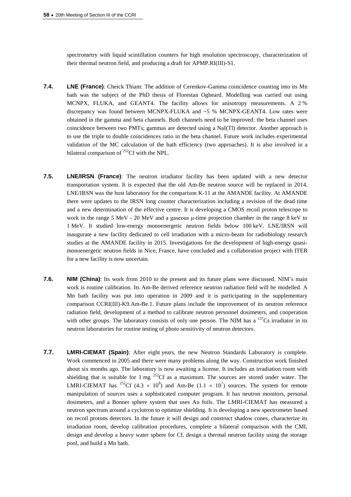spectrometry with liquid scintillation counters for high resolution spectroscopy, characterization of their thermal neutron field, and producing a draft for APMP.RI(III)-S1.

- **7.4. LNE (France)**: Cheick Thiam: The addition of Cerenkov-Gamma coincidence counting into its Mn bath was the subject of the PhD thesis of Florestan Ogheard. Modelling was carried out using MCNPX, FLUKA, and GEANT4. The facility allows for anisotropy measurements. A 2 % discrepancy was found between MCNPX-FLUKA and ~5 % MCNPX-GEANT4. Low rates were obtained in the gamma and beta channels. Both channels need to be improved: the beta channel uses coincidence between two PMTs; gammas are detected using a NaI(Tl) detector. Another approach is to use the triple to double coincidences ratio in the beta channel. Future work includes experimental validation of the MC calculation of the bath efficiency (two approaches). It is also involved in a bilateral comparison of  $^{252}$ Cf with the NPL.
- **7.5. LNE/IRSN (France)**: The neutron irradiator facility has been updated with a new detector transportation system. It is expected that the old Am-Be neutron source will be replaced in 2014. LNE/IRSN was the host laboratory for the comparison K-11 at the AMANDE facility. At AMANDE there were updates to the IRSN long counter characterization including a revision of the dead time and a new determination of the effective centre. It is developing a CMOS recoil proton telescope to work in the range 5 MeV - 20 MeV and a gaseous μ-time projection chamber in the range 8 keV to 1 MeV. It studied low-energy monoenergetic neutron fields below 100 keV. LNE/IRSN will inaugurate a new facility dedicated to cell irradiation with a micro-beam for radiobiology research studies at the AMANDE facility in 2015. Investigations for the development of high-energy quasimonoenergetic neutron fields in Nice, France, have concluded and a collaboration project with ITER for a new facility is now uncertain.
- **7.6. NIM (China)**: Its work from 2010 to the present and its future plans were discussed. NIM's main work is routine calibration. Its Am-Be derived reference neutron radiation field will be modelled. A Mn bath facility was put into operation in 2009 and it is participating in the supplementary comparison CCRI(III)-K9.Am-Be.1. Future plans include the improvement of its neutron reference radiation field, development of a method to calibrate neutron personnel dosimeters, and cooperation with other groups. The laboratory consists of only one person. The NIM has a <sup>137</sup>Cs irradiator in its neutron laboratories for routine testing of photo sensitivity of neutron detectors.
- **7.7. LMRI-CIEMAT (Spain)**: After eight years, the new Neutron Standards Laboratory is complete. Work commenced in 2005 and there were many problems along the way. Construction work finished about six months ago. The laboratory is now awaiting a license. It includes an irradiation room with shielding that is suitable for 1 mg  $^{252}$ Cf as a maximum. The sources are stored under water. The LMRI-CIEMAT has <sup>252</sup>Cf (4.3  $\times$  10<sup>8</sup>) and Am-Be (1.1  $\times$  10<sup>7</sup>) sources. The system for remote manipulation of sources uses a sophisticated computer program. It has neutron monitors, personal dosimeters, and a Bonner sphere system that uses Au foils. The LMRI-CIEMAT has measured a neutron spectrum around a cyclotron to optimize shielding. It is developing a new spectrometer based on recoil protons detectors. In the future it will design and construct shadow cones, characterize its irradiation room, develop calibration procedures, complete a bilateral comparison with the CMI, design and develop a heavy water sphere for Cf, design a thermal neutron facility using the storage pool, and build a Mn bath.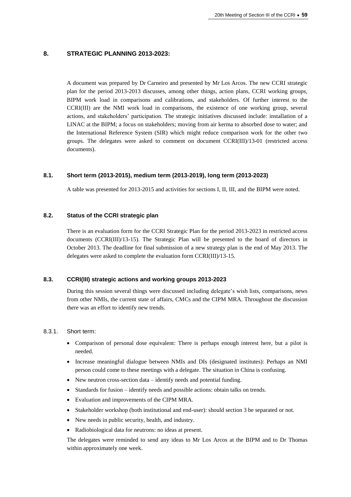# **8. STRATEGIC PLANNING 2013-2023:**

A document was prepared by Dr Carneiro and presented by Mr Los Arcos. The new CCRI strategic plan for the period 2013-2013 discusses, among other things, action plans, CCRI working groups, BIPM work load in comparisons and calibrations, and stakeholders. Of further interest to the CCRI(III) are the NMI work load in comparisons, the existence of one working group, several actions, and stakeholders' participation. The strategic initiatives discussed include: installation of a LINAC at the BIPM; a focus on stakeholders; moving from air kerma to absorbed dose to water; and the International Reference System (SIR) which might reduce comparison work for the other two groups. The delegates were asked to comment on document CCRI(III)/13-01 (restricted access documents).

# **8.1. Short term (2013-2015), medium term (2013-2019), long term (2013-2023)**

A table was presented for 2013-2015 and activities for sections I, II, III, and the BIPM were noted.

### **8.2. Status of the CCRI strategic plan**

There is an evaluation form for the CCRI Strategic Plan for the period 2013-2023 in restricted access documents (CCRI(III)/13-15). The Strategic Plan will be presented to the board of directors in October 2013. The deadline for final submission of a new strategy plan is the end of May 2013. The delegates were asked to complete the evaluation form CCRI(III)/13-15.

### **8.3. CCRI(III) strategic actions and working groups 2013-2023**

During this session several things were discussed including delegate's wish lists, comparisons, news from other NMIs, the current state of affairs, CMCs and the CIPM MRA. Throughout the discussion there was an effort to identify new trends.

### 8.3.1. Short term:

- Comparison of personal dose equivalent: There is perhaps enough interest here, but a pilot is needed.
- Increase meaningful dialogue between NMIs and DIs (designated institutes): Perhaps an NMI person could come to these meetings with a delegate. The situation in China is confusing.
- New neutron cross-section data identify needs and potential funding.
- Standards for fusion identify needs and possible actions: obtain talks on trends.
- Evaluation and improvements of the CIPM MRA.
- Stakeholder workshop (both institutional and end-user): should section 3 be separated or not.
- New needs in public security, health, and industry.
- Radiobiological data for neutrons: no ideas at present.

The delegates were reminded to send any ideas to Mr Los Arcos at the BIPM and to Dr Thomas within approximately one week.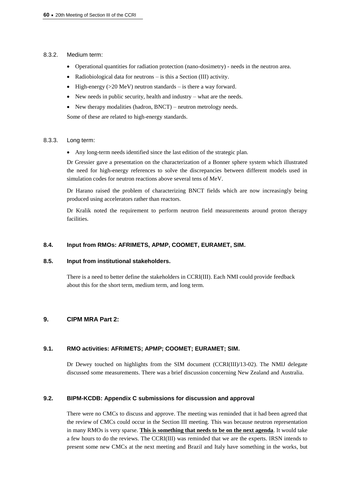### 8.3.2. Medium term:

- Operational quantities for radiation protection (nano-dosimetry) needs in the neutron area.
- Radiobiological data for neutrons is this a Section (III) activity.
- $\bullet$  High-energy (>20 MeV) neutron standards is there a way forward.
- New needs in public security, health and industry what are the needs.
- New therapy modalities (hadron, BNCT) neutron metrology needs.

Some of these are related to high-energy standards.

### 8.3.3. Long term:

Any long-term needs identified since the last edition of the strategic plan.

Dr Gressier gave a presentation on the characterization of a Bonner sphere system which illustrated the need for high-energy references to solve the discrepancies between different models used in simulation codes for neutron reactions above several tens of MeV.

Dr Harano raised the problem of characterizing BNCT fields which are now increasingly being produced using accelerators rather than reactors.

Dr Kralik noted the requirement to perform neutron field measurements around proton therapy facilities.

# **8.4. Input from RMOs: AFRIMETS, APMP, COOMET, EURAMET, SIM.**

# **8.5. Input from institutional stakeholders.**

There is a need to better define the stakeholders in CCRI(III). Each NMI could provide feedback about this for the short term, medium term, and long term.

# **9. CIPM MRA Part 2:**

# **9.1. RMO activities: AFRIMETS; APMP; COOMET; EURAMET; SIM.**

Dr Dewey touched on highlights from the SIM document (CCRI(III)/13-02). The NMIJ delegate discussed some measurements. There was a brief discussion concerning New Zealand and Australia.

# **9.2. BIPM-KCDB: Appendix C submissions for discussion and approval**

There were no CMCs to discuss and approve. The meeting was reminded that it had been agreed that the review of CMCs could occur in the Section III meeting. This was because neutron representation in many RMOs is very sparse. **This is something that needs to be on the next agenda**. It would take a few hours to do the reviews. The CCRI(III) was reminded that we are the experts. IRSN intends to present some new CMCs at the next meeting and Brazil and Italy have something in the works, but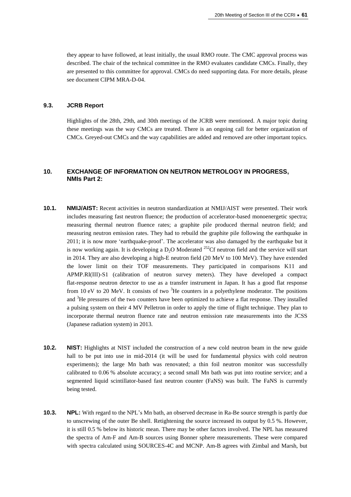they appear to have followed, at least initially, the usual RMO route. The CMC approval process was described. The chair of the technical committee in the RMO evaluates candidate CMCs. Finally, they are presented to this committee for approval. CMCs do need supporting data. For more details, please see document CIPM MRA-D-04.

### **9.3. JCRB Report**

Highlights of the 28th, 29th, and 30th meetings of the JCRB were mentioned. A major topic during these meetings was the way CMCs are treated. There is an ongoing call for better organization of CMCs. Greyed-out CMCs and the way capabilities are added and removed are other important topics.

# **10. EXCHANGE OF INFORMATION ON NEUTRON METROLOGY IN PROGRESS, NMIs Part 2:**

- **10.1. NMIJ/AIST:** Recent activities in neutron standardization at NMIJ/AIST were presented. Their work includes measuring fast neutron fluence; the production of accelerator-based monoenergetic spectra; measuring thermal neutron fluence rates; a graphite pile produced thermal neutron field; and measuring neutron emission rates. They had to rebuild the graphite pile following the earthquake in 2011; it is now more 'earthquake-proof'. The accelerator was also damaged by the earthquake but it is now working again. It is developing a  $D_2O$  Moderated <sup>252</sup>Cf neutron field and the service will start in 2014. They are also developing a high-E neutron field (20 MeV to 100 MeV). They have extended the lower limit on their TOF measurements. They participated in comparisons K11 and APMP.RI(III)-S1 (calibration of neutron survey meters). They have developed a compact flat-response neutron detector to use as a transfer instrument in Japan. It has a good flat response from 10 eV to 20 MeV. It consists of two  ${}^{3}$ He counters in a polyethylene moderator. The positions and <sup>3</sup>He pressures of the two counters have been optimized to achieve a flat response. They installed a pulsing system on their 4 MV Pelletron in order to apply the time of flight technique. They plan to incorporate thermal neutron fluence rate and neutron emission rate measurements into the JCSS (Japanese radiation system) in 2013.
- **10.2. NIST:** Highlights at NIST included the construction of a new cold neutron beam in the new guide hall to be put into use in mid-2014 (it will be used for fundamental physics with cold neutron experiments); the large Mn bath was renovated; a thin foil neutron monitor was successfully calibrated to 0.06 % absolute accuracy; a second small Mn bath was put into routine service; and a segmented liquid scintillator-based fast neutron counter (FaNS) was built. The FaNS is currently being tested.
- **10.3. NPL:** With regard to the NPL's Mn bath, an observed decrease in Ra-Be source strength is partly due to unscrewing of the outer Be shell. Retightening the source increased its output by 0.5 %. However, it is still 0.5 % below its historic mean. There may be other factors involved. The NPL has measured the spectra of Am-F and Am-B sources using Bonner sphere measurements. These were compared with spectra calculated using SOURCES-4C and MCNP. Am-B agrees with Zimbal and Marsh, but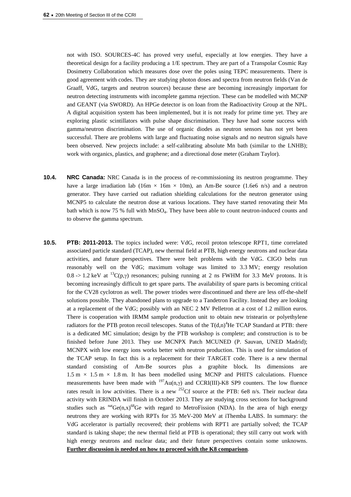not with ISO. SOURCES-4C has proved very useful, especially at low energies. They have a theoretical design for a facility producing a 1/E spectrum. They are part of a Transpolar Cosmic Ray Dosimetry Collaboration which measures dose over the poles using TEPC measurements. There is good agreement with codes. They are studying photon doses and spectra from neutron fields (Van de Graaff, VdG, targets and neutron sources) because these are becoming increasingly important for neutron detecting instruments with incomplete gamma rejection. These can be modelled with MCNP and GEANT (via SWORD). An HPGe detector is on loan from the Radioactivity Group at the NPL. A digital acquisition system has been implemented, but it is not ready for prime time yet. They are exploring plastic scintillators with pulse shape discrimination. They have had some success with gamma/neutron discrimination. The use of organic diodes as neutron sensors has not yet been successful. There are problems with large and fluctuating noise signals and no neutron signals have been observed. New projects include: a self-calibrating absolute Mn bath (similar to the LNHB); work with organics, plastics, and graphene; and a directional dose meter (Graham Taylor).

- **10.4. NRC Canada:** NRC Canada is in the process of re-commissioning its neutron programme. They have a large irradiation lab (16m  $\times$  16m  $\times$  10m), an Am-Be source (1.6e6 n/s) and a neutron generator. They have carried out radiation shielding calculations for the neutron generator using MCNP5 to calculate the neutron dose at various locations. They have started renovating their Mn bath which is now 75 % full with MnSO<sub>4</sub>. They have been able to count neutron-induced counts and to observe the gamma spectrum.
- **10.5. PTB: 2011-2013.** The topics included were: VdG, recoil proton telescope RPT1, time correlated associated particle standard (TCAP), new thermal field at PTB, high energy neutrons and nuclear data activities, and future perspectives. There were belt problems with the VdG. CIGO belts run reasonably well on the VdG; maximum voltage was limited to 3.3 MV; energy resolution  $0.8 \rightarrow 1.2$  keV at <sup>13</sup>C(p, $\gamma$ ) resonances; pulsing running at 2 ns FWHM for 3.3 MeV protons. It is becoming increasingly difficult to get spare parts. The availability of spare parts is becoming critical for the CV28 cyclotron as well. The power triodes were discontinued and there are less off-the-shelf solutions possible. They abandoned plans to upgrade to a Tandetron Facility. Instead they are looking at a replacement of the VdG; possibly with an NEC 2 MV Pelletron at a cost of 1.2 million euros. There is cooperation with IRMM sample production unit to obtain new tristearin or polyethylene radiators for the PTB proton recoil telescopes. Status of the  $T(d,n)^4$ He TCAP Standard at PTB: there is a dedicated MC simulation; design by the PTB workshop is complete; and construction is to be finished before June 2013. They use MCNPX Patch MCUNED (P. Sauvan, UNED Madrid); MCNPX with low energy ions works better with neutron production. This is used for simulation of the TCAP setup. In fact this is a replacement for their TARGET code. There is a new thermal standard consisting of Am-Be sources plus a graphite block. Its dimensions are  $1.5 \text{ m} \times 1.5 \text{ m} \times 1.8 \text{ m}$ . It has been modelled using MCNP and PHITS calculations. Fluence measurements have been made with  $197\text{Au}(n,y)$  and CCRI(III)-K8 SP9 counters. The low fluence rates result in low activities. There is a new <sup>252</sup>Cf source at the PTB: 6e8 n/s. Their nuclear data activity with ERINDA will finish in October 2013. They are studying cross sections for background studies such as  $^{nat}Ge(n,x)^{68}Ge$  with regard to MetroFission (NDA). In the area of high energy neutrons they are working with RPTs for 35 MeV-200 MeV at iThemba LABS. In summary: the VdG accelerator is partially recovered; their problems with RPT1 are partially solved; the TCAP standard is taking shape; the new thermal field at PTB is operational; they still carry out work with high energy neutrons and nuclear data; and their future perspectives contain some unknowns. **Further discussion is needed on how to proceed with the K8 comparison**.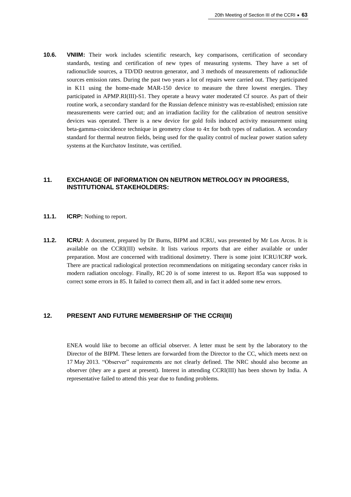**10.6. VNIIM:** Their work includes scientific research, key comparisons, certification of secondary standards, testing and certification of new types of measuring systems. They have a set of radionuclide sources, a TD/DD neutron generator, and 3 methods of measurements of radionuclide sources emission rates. During the past two years a lot of repairs were carried out. They participated in K11 using the home-made MAR-150 device to measure the three lowest energies. They participated in APMP.RI(III)-S1. They operate a heavy water moderated Cf source. As part of their routine work, a secondary standard for the Russian defence ministry was re-established; emission rate measurements were carried out; and an irradiation facility for the calibration of neutron sensitive devices was operated. There is a new device for gold foils induced activity measurement using beta-gamma-coincidence technique in geometry close to  $4\pi$  for both types of radiation. A secondary standard for thermal neutron fields, being used for the quality control of nuclear power station safety systems at the Kurchatov Institute, was certified.

### **11. EXCHANGE OF INFORMATION ON NEUTRON METROLOGY IN PROGRESS, INSTITUTIONAL STAKEHOLDERS:**

- **11.1. ICRP:** Nothing to report.
- **11.2. ICRU:** A document, prepared by Dr Burns, BIPM and ICRU, was presented by Mr Los Arcos. It is available on the CCRI(III) website. It lists various reports that are either available or under preparation. Most are concerned with traditional dosimetry. There is some joint ICRU/ICRP work. There are practical radiological protection recommendations on mitigating secondary cancer risks in modern radiation oncology. Finally, RC 20 is of some interest to us. Report 85a was supposed to correct some errors in 85. It failed to correct them all, and in fact it added some new errors.

### **12. PRESENT AND FUTURE MEMBERSHIP OF THE CCRI(III)**

ENEA would like to become an official observer. A letter must be sent by the laboratory to the Director of the BIPM. These letters are forwarded from the Director to the CC, which meets next on 17 May 2013. "Observer" requirements are not clearly defined. The NRC should also become an observer (they are a guest at present). Interest in attending CCRI(III) has been shown by India. A representative failed to attend this year due to funding problems.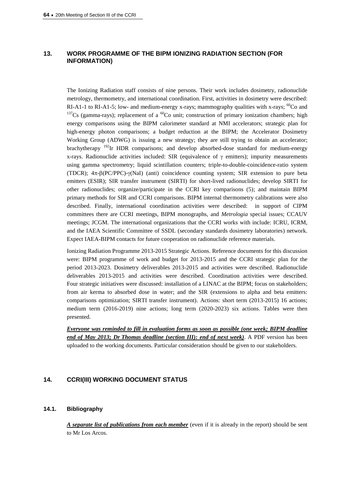# **13. WORK PROGRAMME OF THE BIPM IONIZING RADIATION SECTION (FOR INFORMATION)**

The Ionizing Radiation staff consists of nine persons. Their work includes dosimetry, radionuclide metrology, thermometry, and international coordination. First, activities in dosimetry were described: RI-A1-1 to RI-A1-5; low- and medium-energy x-rays; mammography qualities with x-rays;  ${}^{60}$ Co and  $137Cs$  (gamma-rays); replacement of a  $^{60}Co$  unit; construction of primary ionization chambers; high energy comparisons using the BIPM calorimeter standard at NMI accelerators; strategic plan for high-energy photon comparisons; a budget reduction at the BIPM; the Accelerator Dosimetry Working Group (ADWG) is issuing a new strategy; they are still trying to obtain an accelerator; brachytherapy  $192$ Ir HDR comparisons; and develop absorbed-dose standard for medium-energy x-rays. Radionuclide activities included: SIR (equivalence of  $\gamma$  emitters); impurity measurements using gamma spectrometry; liquid scintillation counters; triple-to-double-coincidence-ratio system (TDCR);  $4\pi$ - $\beta$ (PC/PPC)- $\gamma$ (NaI) (anti) coincidence counting system; SIR extension to pure beta emitters (ESIR); SIR transfer instrument (SIRTI) for short-lived radionuclides; develop SIRTI for other radionuclides; organize/participate in the CCRI key comparisons (5); and maintain BIPM primary methods for SIR and CCRI comparisons. BIPM internal thermometry calibrations were also described. Finally, international coordination activities were described: in support of CIPM committees there are CCRI meetings, BIPM monographs, and *Metrologia* special issues; CCAUV meetings; JCGM. The international organizations that the CCRI works with include: ICRU, ICRM, and the IAEA Scientific Committee of SSDL (secondary standards dosimetry laboratories) network. Expect IAEA-BIPM contacts for future cooperation on radionuclide reference materials.

Ionizing Radiation Programme 2013-2015 Strategic Actions. Reference documents for this discussion were: BIPM programme of work and budget for 2013-2015 and the CCRI strategic plan for the period 2013-2023. Dosimetry deliverables 2013-2015 and activities were described. Radionuclide deliverables 2013-2015 and activities were described. Coordination activities were described. Four strategic initiatives were discussed: installation of a LINAC at the BIPM; focus on stakeholders; from air kerma to absorbed dose in water; and the SIR (extensions to alpha and beta emitters: comparisons optimization; SIRTI transfer instrument). Actions: short term (2013-2015) 16 actions; medium term (2016-2019) nine actions; long term (2020-2023) six actions. Tables were then presented.

*Everyone was reminded to fill in evaluation forms as soon as possible (one week; BIPM deadline end of May 2013; Dr Thomas deadline (section III): end of next week)*. A PDF version has been uploaded to the working documents. Particular consideration should be given to our stakeholders.

# **14. CCRI(III) WORKING DOCUMENT STATUS**

### **14.1. Bibliography**

*A separate list of publications from each member* (even if it is already in the report) should be sent to Mr Los Arcos.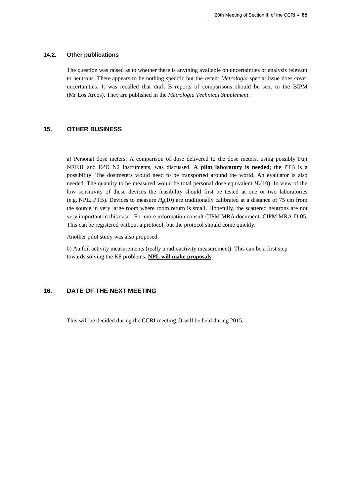#### **14.2. Other publications**

The question was raised as to whether there is anything available on uncertainties or analysis relevant to neutrons. There appears to be nothing specific but the recent *Metrologia* special issue does cover uncertainties. It was recalled that draft B reports of comparisons should be sent to the BIPM (Mr Los Arcos). They are published in the *Metrologia Technical Supplement*.

#### **15. OTHER BUSINESS**

a) Personal dose meters. A comparison of dose delivered to the dose meters, using possibly Fuji NRF31 and EPD N2 instruments, was discussed. **A pilot laboratory is needed**; the PTB is a possibility. The dosimeters would need to be transported around the world. An evaluator is also needed. The quantity to be measured would be total personal dose equivalent  $H_p(10)$ . In view of the low sensitivity of these devices the feasibility should first be tested at one or two laboratories (e.g. NPL, PTB). Devices to measure  $H<sub>p</sub>(10)$  are traditionally calibrated at a distance of 75 cm from the source in very large room where room return is small. Hopefully, the scattered neutrons are not very important in this case. For more information consult CIPM MRA document: CIPM MRA-D-05. This can be registered without a protocol, but the protocol should come quickly.

Another pilot study was also proposed.

b) Au foil activity measurements (really a radioactivity measurement). This can be a first step towards solving the K8 problems. **NPL will make proposals**.

# **16. DATE OF THE NEXT MEETING**

This will be decided during the CCRI meeting. It will be held during 2015.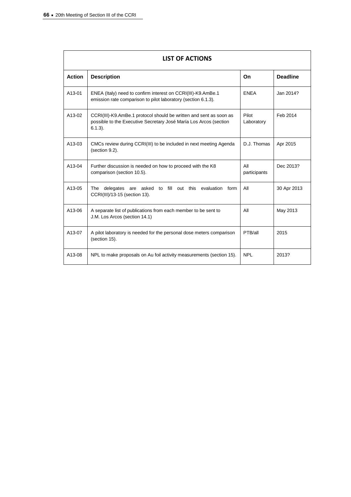| <b>LIST OF ACTIONS</b> |                                                                                                                                                       |                     |                 |  |  |  |
|------------------------|-------------------------------------------------------------------------------------------------------------------------------------------------------|---------------------|-----------------|--|--|--|
| <b>Action</b>          | <b>Description</b>                                                                                                                                    | On                  | <b>Deadline</b> |  |  |  |
| A13-01                 | ENEA (Italy) need to confirm interest on CCRI(III)-K9.AmBe.1<br>emission rate comparison to pilot laboratory (section 6.1.3).                         | <b>ENEA</b>         | Jan 2014?       |  |  |  |
| A13-02                 | CCRI(III)-K9.AmBe.1 protocol should be written and sent as soon as<br>possible to the Executive Secretary José María Los Arcos (section<br>$6.1.3$ ). | Pilot<br>Laboratory | Feb 2014        |  |  |  |
| $A13-03$               | CMCs review during CCRI(III) to be included in next meeting Agenda<br>(section 9.2).                                                                  | D.J. Thomas         | Apr 2015        |  |  |  |
| A13-04                 | Further discussion is needed on how to proceed with the K8<br>comparison (section 10.5).                                                              | All<br>participants | Dec 2013?       |  |  |  |
| A13-05                 | delegates are asked to fill out this evaluation<br>The<br>form<br>CCRI(III)/13-15 (section 13).                                                       | All                 | 30 Apr 2013     |  |  |  |
| A13-06                 | A separate list of publications from each member to be sent to<br>J.M. Los Arcos (section 14.1)                                                       | All                 | May 2013        |  |  |  |
| A13-07                 | A pilot laboratory is needed for the personal dose meters comparison<br>(section 15).                                                                 | PTB/all             | 2015            |  |  |  |
| A13-08                 | NPL to make proposals on Au foil activity measurements (section 15).                                                                                  | <b>NPL</b>          | 2013?           |  |  |  |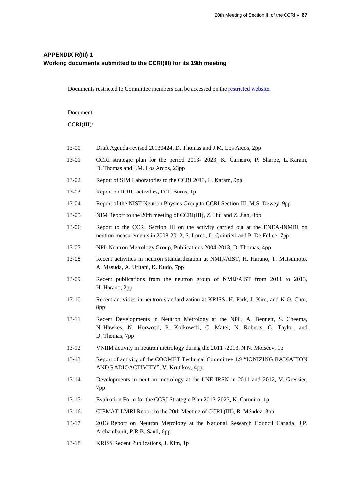# **APPENDIX R(III) 1 Working documents submitted to the CCRI(III) for its 19th meeting**

Documents restricted to Committee members can be accessed on the [restricted](http://www.bipm.org/cc/CCRI(III)/Restricted/WorkingDocuments.jsp) website.

Document

CCRI(III)/

- [13-00](http://www.bipm.org/cc/CCRI%28III%29/Restricted/20/CCRI%28III%29-2013-00_Agenda-draft20130424b.pdf) Draft Agenda-revised 20130424, D. Thomas and J.M. Los Arcos, 2pp
- [13-01](http://www.bipm.org/cc/CCRI%28III%29/Restricted/20/CCRI_strategy_for_the_period_2013-2023-FINAL_2013-02-05.pdf) CCRI strategic plan for the period 2013- 2023, K. Carneiro, P. Sharpe, L. Karam, D. Thomas and J.M. Los Arcos, 23pp
- [13-02](http://www.bipm.org/cc/CCRI%28III%29/Restricted/20/Report_of_SIM_Labs_to_CCRI_2013.pdf) Report of SIM Laboratories to the CCRI 2013, L. Karam, 9pp
- [13-03](http://www.bipm.org/cc/CCRI%28III%29/Restricted/20/Report_on_ICRU_activities_2013-03-13_CCRI%28III%29.pdf) Report on ICRU activities, D.T. Burns, 1p
- [13-04](http://www.bipm.org/cc/CCRI%28III%29/Restricted/20/NIST_Neutron_Physics_Report_to_CCRI%28III%29_2013.pdf) Report of the NIST Neutron Physics Group to CCRI Section III, M.S. Dewey, 9pp
- [13-05](http://www.bipm.org/cc/CCRI%28III%29/Restricted/20/NIM_Report_to_the_20th_meeting_of_CCRI%28III%29.pdf) NIM Report to the 20th meeting of CCRI(III), Z. Hui and Z. Jian, 3pp
- [13-06](http://www.bipm.org/cc/CCRI%28III%29/Restricted/20/CCRI_%28III%29_ENEA_2013.pdf) Report to the CCRI Section III on the activity carried out at the ENEA-INMRI on neutron measurements in 2008-2012, S. Loreti, L. Quintieri and P. De Felice, 7pp
- [13-07](http://www.bipm.org/cc/CCRI%28III%29/Restricted/20/NPL_Publications_in_the_field_of_neutron_metrology_2004-2013.pdf) NPL Neutron Metrology Group, Publications 2004-2013, D. Thomas, 4pp
- [13-08](http://www.bipm.org/cc/CCRI%28III%29/Restricted/20/Recent_activities_2013_NMIJ.pdf) Recent activities in neutron standardization at NMIJ/AIST, H. Harano, T. Matsumoto, A. Masuda, A. Uritani, K. Kudo, 7pp
- [13-09](http://www.bipm.org/cc/CCRI%28III%29/Restricted/20/Recent_publications_2013_NMIJ.pdf) Recent publications from the neutron group of NMIJ/AIST from 2011 to 2013, H. Harano, 2pp
- [13-10](http://www.bipm.org/cc/CCRI%28III%29/Restricted/20/CCRI%28III%292013-KRISS-mod.pdf) Recent activities in neutron standardization at KRISS, H. Park, J. Kim, and K-O. Choi, 8pp
- [13-11](http://www.bipm.org/cc/CCRI%28III%29/Restricted/20/Recent_Developments_at_NPL_19-04-15.pdf) Recent Developments in Neutron Metrology at the NPL, A. Bennett, S. Cheema, N. Hawkes, N. Horwood, P. Kolkowski, C. Matei, N. Roberts, G. Taylor, and D. Thomas, 7pp
- [13-12](http://www.bipm.org/cc/CCRI%28III%29/Restricted/20/VNIIM_activity_in_neutron_metrology_during_the_2011-2013.pdf) VNIIM activity in neutron metrology during the 2011 -2013, N.N. Moiseev, 1p
- [13-13](http://www.bipm.org/cc/CCRI%28III%29/Restricted/20/Report_COOMET_CCRI-2013.pdf) Report of activity of the COOMET Technical Committee 1.9 "IONIZING RADIATION AND RADIOACTIVITY", V. Krutikov, 4pp
- [13-14](http://www.bipm.org/cc/CCRI%28III%29/Restricted/20/LNE-IRSN-progress_report-2013.pdf) Developments in neutron metrology at the LNE-IRSN in 2011 and 2012, V. Gressier, 7pp
- [13-15](http://www.bipm.org/cc/CCRI%28III%29/Restricted/20/Evaluation_form_for_CCRI_Strategy_2013-CCRI%28III%29.pdf) Evaluation Form for the CCRI Strategic Plan 2013-2023, K. Carneiro, 1p
- [13-16](http://www.bipm.org/cc/CCRI%28III%29/Restricted/20/CIEMAT_Report_to_CCRI%28III%29_2013.pdf) CIEMAT-LMRI Report to the 20th Meeting of CCRI (III), R. Méndez, 3pp
- [13-17](http://www.bipm.org/cc/CCRI%28III%29/Restricted/20/BIPM_update_2013_NRC.pdf) 2013 Report on Neutron Metrology at the National Research Council Canada, J.P. Archambault, P.R.B. Saull, 6pp
- [13-18](http://www.bipm.org/cc/CCRI%28III%29/Restricted/20/Recent_publications_2013_KRISS.pdf) KRISS Recent Publications, J. Kim, 1p